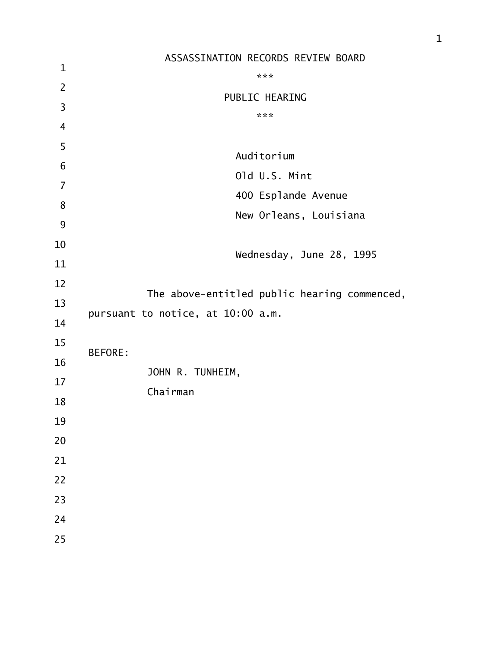|                | ASSASSINATION RECORDS REVIEW BOARD           |
|----------------|----------------------------------------------|
| $\mathbf 1$    | ***                                          |
| $\overline{2}$ | PUBLIC HEARING                               |
| $\overline{3}$ | ***                                          |
| $\overline{4}$ |                                              |
| 5              | Auditorium                                   |
| 6              |                                              |
| $\overline{7}$ | Old U.S. Mint                                |
| 8              | 400 Esplande Avenue                          |
| 9              | New Orleans, Louisiana                       |
| 10             |                                              |
| 11             | Wednesday, June 28, 1995                     |
| 12             |                                              |
| 13             | The above-entitled public hearing commenced, |
| 14             | pursuant to notice, at 10:00 a.m.            |
| 15             | <b>BEFORE:</b>                               |
| 16             |                                              |
| 17             | JOHN R. TUNHEIM,                             |
| 18             | Chairman                                     |
| 19             |                                              |
| 20             |                                              |
| 21             |                                              |
| 22             |                                              |
| 23             |                                              |
| 24             |                                              |
| 25             |                                              |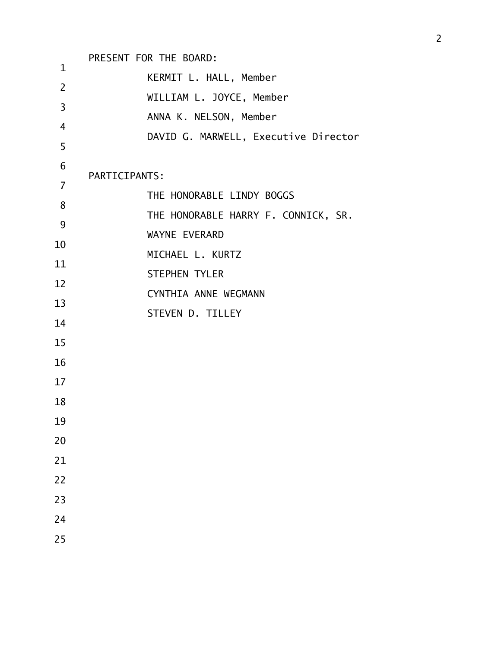| $\mathbf{1}$   | PRESENT FOR THE BOARD:               |
|----------------|--------------------------------------|
|                | KERMIT L. HALL, Member               |
| $\overline{2}$ | WILLIAM L. JOYCE, Member             |
| 3              | ANNA K. NELSON, Member               |
| $\overline{4}$ | DAVID G. MARWELL, Executive Director |
| 5              |                                      |
| 6              | PARTICIPANTS:                        |
| $\overline{7}$ | THE HONORABLE LINDY BOGGS            |
| 8              |                                      |
| 9              | THE HONORABLE HARRY F. CONNICK, SR.  |
| 10             | WAYNE EVERARD                        |
| 11             | MICHAEL L. KURTZ                     |
| 12             | <b>STEPHEN TYLER</b>                 |
| 13             | CYNTHIA ANNE WEGMANN                 |
| 14             | STEVEN D. TILLEY                     |
| 15             |                                      |
| 16             |                                      |
| 17             |                                      |
| 18             |                                      |
| 19             |                                      |
| 20             |                                      |
| 21             |                                      |
| 22             |                                      |
| 23             |                                      |
| 24             |                                      |
| 25             |                                      |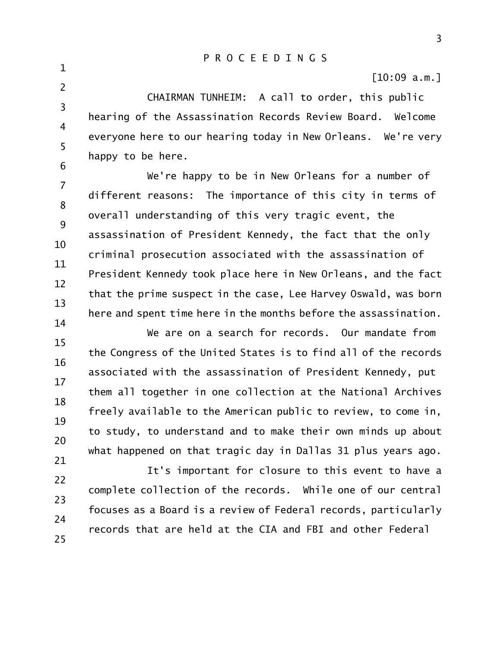[10:09 a.m.]

3 4 5 6 CHAIRMAN TUNHEIM: A call to order, this public hearing of the Assassination Records Review Board. Welcome everyone here to our hearing today in New Orleans. We're very happy to be here.

1

2

7 8 9 10 11 12 13 14 We're happy to be in New Orleans for a number of different reasons: The importance of this city in terms of overall understanding of this very tragic event, the assassination of President Kennedy, the fact that the only criminal prosecution associated with the assassination of President Kennedy took place here in New Orleans, and the fact that the prime suspect in the case, Lee Harvey Oswald, was born here and spent time here in the months before the assassination.

15 16 17 18 19 20 21 We are on a search for records. Our mandate from the Congress of the United States is to find all of the records associated with the assassination of President Kennedy, put them all together in one collection at the National Archives freely available to the American public to review, to come in, to study, to understand and to make their own minds up about what happened on that tragic day in Dallas 31 plus years ago.

22 23 24 25 It's important for closure to this event to have a complete collection of the records. While one of our central focuses as a Board is a review of Federal records, particularly records that are held at the CIA and FBI and other Federal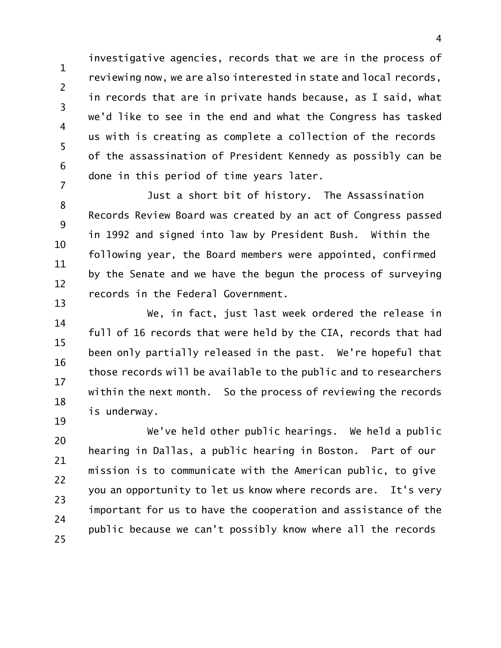1 2 3 4 5 6 7 investigative agencies, records that we are in the process of reviewing now, we are also interested in state and local records, in records that are in private hands because, as I said, what we'd like to see in the end and what the Congress has tasked us with is creating as complete a collection of the records of the assassination of President Kennedy as possibly can be done in this period of time years later.

8 9 10 11 12 13 Just a short bit of history. The Assassination Records Review Board was created by an act of Congress passed in 1992 and signed into law by President Bush. Within the following year, the Board members were appointed, confirmed by the Senate and we have the begun the process of surveying records in the Federal Government.

14 15 16 17 18 We, in fact, just last week ordered the release in full of 16 records that were held by the CIA, records that had been only partially released in the past. We're hopeful that those records will be available to the public and to researchers within the next month. So the process of reviewing the records is underway.

20 21 22 23 24 25 We've held other public hearings. We held a public hearing in Dallas, a public hearing in Boston. Part of our mission is to communicate with the American public, to give you an opportunity to let us know where records are. It's very important for us to have the cooperation and assistance of the public because we can't possibly know where all the records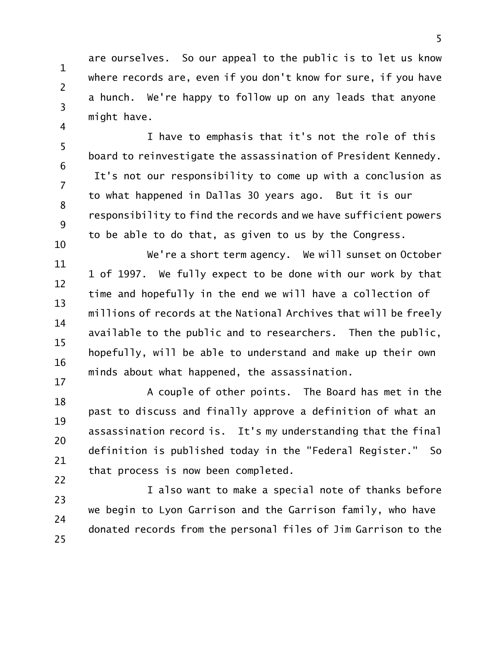are ourselves. So our appeal to the public is to let us know where records are, even if you don't know for sure, if you have a hunch. We're happy to follow up on any leads that anyone might have.

1

2

3

4

5 6 7 8 9 10 I have to emphasis that it's not the role of this board to reinvestigate the assassination of President Kennedy. It's not our responsibility to come up with a conclusion as to what happened in Dallas 30 years ago. But it is our responsibility to find the records and we have sufficient powers to be able to do that, as given to us by the Congress.

11 12 13 14 15 16 17 We're a short term agency. We will sunset on October 1 of 1997. We fully expect to be done with our work by that time and hopefully in the end we will have a collection of millions of records at the National Archives that will be freely available to the public and to researchers. Then the public, hopefully, will be able to understand and make up their own minds about what happened, the assassination.

18 19 20 21 22 A couple of other points. The Board has met in the past to discuss and finally approve a definition of what an assassination record is. It's my understanding that the final definition is published today in the "Federal Register." So that process is now been completed.

23 24 25 I also want to make a special note of thanks before we begin to Lyon Garrison and the Garrison family, who have donated records from the personal files of Jim Garrison to the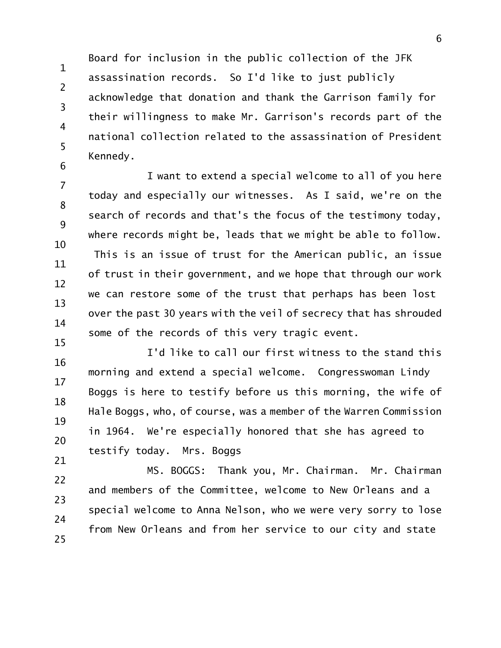1 2 3 4 5 6 Board for inclusion in the public collection of the JFK assassination records. So I'd like to just publicly acknowledge that donation and thank the Garrison family for their willingness to make Mr. Garrison's records part of the national collection related to the assassination of President Kennedy.

7 8 9 10 11 12 13 14 15 I want to extend a special welcome to all of you here today and especially our witnesses. As I said, we're on the search of records and that's the focus of the testimony today, where records might be, leads that we might be able to follow. This is an issue of trust for the American public, an issue of trust in their government, and we hope that through our work we can restore some of the trust that perhaps has been lost over the past 30 years with the veil of secrecy that has shrouded some of the records of this very tragic event.

16 17 18 19 20 21 I'd like to call our first witness to the stand this morning and extend a special welcome. Congresswoman Lindy Boggs is here to testify before us this morning, the wife of Hale Boggs, who, of course, was a member of the Warren Commission in 1964. We're especially honored that she has agreed to testify today. Mrs. Boggs

22 23 24 25 MS. BOGGS: Thank you, Mr. Chairman. Mr. Chairman and members of the Committee, welcome to New Orleans and a special welcome to Anna Nelson, who we were very sorry to lose from New Orleans and from her service to our city and state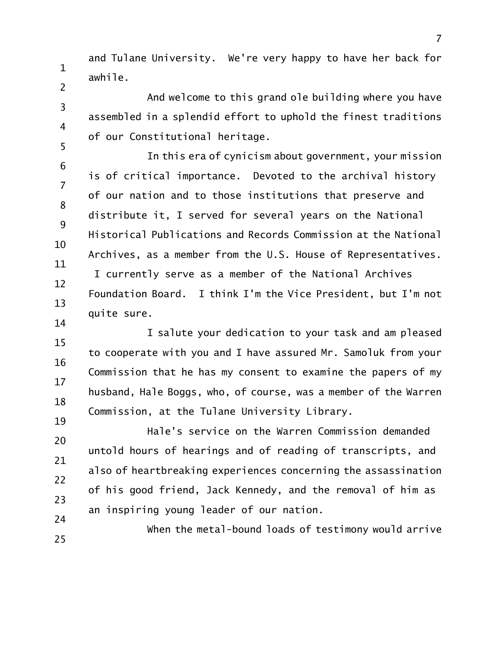and Tulane University. We're very happy to have her back for awhile.

1

2

3

4

5

14

And welcome to this grand ole building where you have assembled in a splendid effort to uphold the finest traditions of our Constitutional heritage.

6 7 8 9 10 11 12 13 In this era of cynicism about government, your mission is of critical importance. Devoted to the archival history of our nation and to those institutions that preserve and distribute it, I served for several years on the National Historical Publications and Records Commission at the National Archives, as a member from the U.S. House of Representatives. I currently serve as a member of the National Archives Foundation Board. I think I'm the Vice President, but I'm not quite sure.

15 16 17 18 19 I salute your dedication to your task and am pleased to cooperate with you and I have assured Mr. Samoluk from your Commission that he has my consent to examine the papers of my husband, Hale Boggs, who, of course, was a member of the Warren Commission, at the Tulane University Library.

20 21 22 23 24 Hale's service on the Warren Commission demanded untold hours of hearings and of reading of transcripts, and also of heartbreaking experiences concerning the assassination of his good friend, Jack Kennedy, and the removal of him as an inspiring young leader of our nation.

25 When the metal-bound loads of testimony would arrive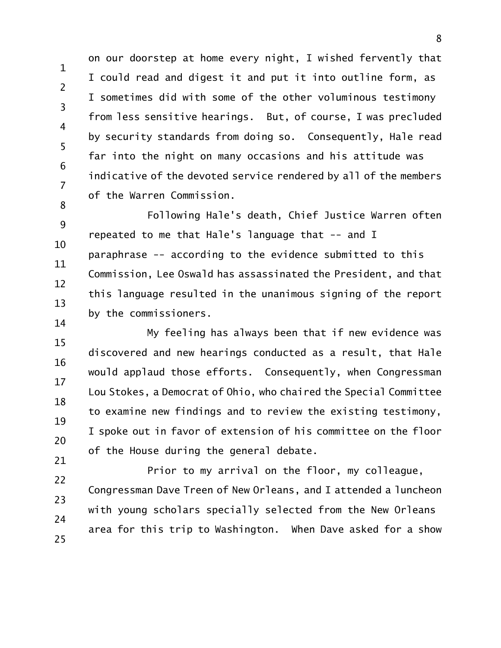1 2 3 4 5 6 7 on our doorstep at home every night, I wished fervently that I could read and digest it and put it into outline form, as I sometimes did with some of the other voluminous testimony from less sensitive hearings. But, of course, I was precluded by security standards from doing so. Consequently, Hale read far into the night on many occasions and his attitude was indicative of the devoted service rendered by all of the members of the Warren Commission.

9 10 11 12 13 14 Following Hale's death, Chief Justice Warren often repeated to me that Hale's language that -- and I paraphrase -- according to the evidence submitted to this Commission, Lee Oswald has assassinated the President, and that this language resulted in the unanimous signing of the report by the commissioners.

8

15 16 17 18 19 20 21 My feeling has always been that if new evidence was discovered and new hearings conducted as a result, that Hale would applaud those efforts. Consequently, when Congressman Lou Stokes, a Democrat of Ohio, who chaired the Special Committee to examine new findings and to review the existing testimony, I spoke out in favor of extension of his committee on the floor of the House during the general debate.

22 23 24 25 Prior to my arrival on the floor, my colleague, Congressman Dave Treen of New Orleans, and I attended a luncheon with young scholars specially selected from the New Orleans area for this trip to Washington. When Dave asked for a show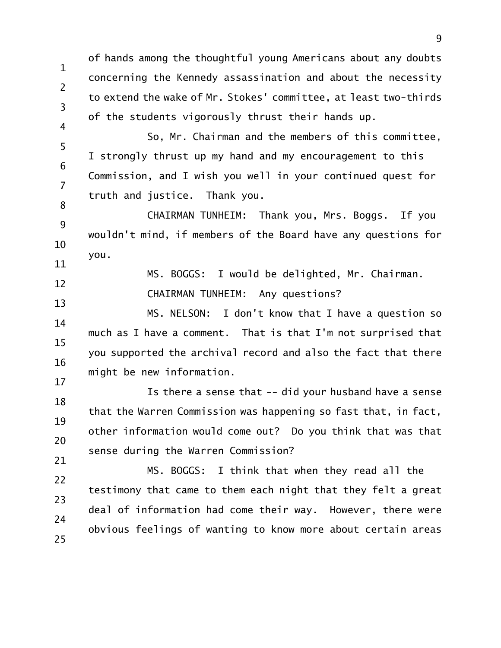1 2 3 of hands among the thoughtful young Americans about any doubts concerning the Kennedy assassination and about the necessity to extend the wake of Mr. Stokes' committee, at least two-thirds of the students vigorously thrust their hands up.

5 6 7 So, Mr. Chairman and the members of this committee, I strongly thrust up my hand and my encouragement to this Commission, and I wish you well in your continued quest for truth and justice. Thank you.

4

8

17

9 10 11 CHAIRMAN TUNHEIM: Thank you, Mrs. Boggs. If you wouldn't mind, if members of the Board have any questions for you.

12 13 MS. BOGGS: I would be delighted, Mr. Chairman. CHAIRMAN TUNHEIM: Any questions?

14 15 16 MS. NELSON: I don't know that I have a question so much as I have a comment. That is that I'm not surprised that you supported the archival record and also the fact that there might be new information.

18 19 20 21 Is there a sense that -- did your husband have a sense that the Warren Commission was happening so fast that, in fact, other information would come out? Do you think that was that sense during the Warren Commission?

22 23 24 25 MS. BOGGS: I think that when they read all the testimony that came to them each night that they felt a great deal of information had come their way. However, there were obvious feelings of wanting to know more about certain areas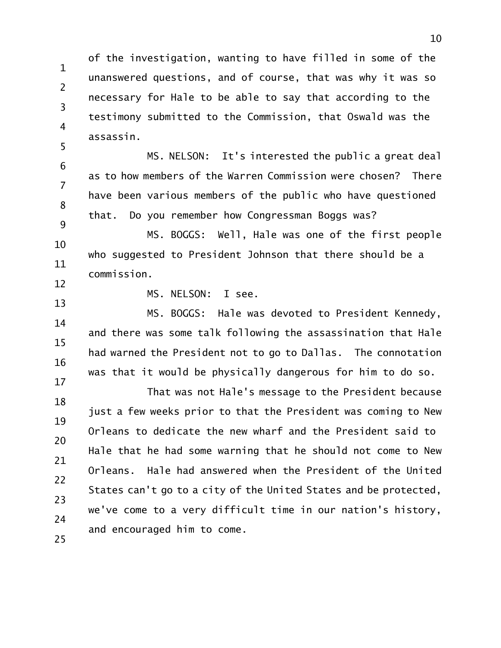1 2 3 4 5 of the investigation, wanting to have filled in some of the unanswered questions, and of course, that was why it was so necessary for Hale to be able to say that according to the testimony submitted to the Commission, that Oswald was the assassin.

6 7 8 9 MS. NELSON: It's interested the public a great deal as to how members of the Warren Commission were chosen? There have been various members of the public who have questioned that. Do you remember how Congressman Boggs was?

10 11 12 MS. BOGGS: Well, Hale was one of the first people who suggested to President Johnson that there should be a commission.

13

MS. NELSON: I see.

14 15 16 17 MS. BOGGS: Hale was devoted to President Kennedy, and there was some talk following the assassination that Hale had warned the President not to go to Dallas. The connotation was that it would be physically dangerous for him to do so.

18 19 20 21 22 23 24 25 That was not Hale's message to the President because just a few weeks prior to that the President was coming to New Orleans to dedicate the new wharf and the President said to Hale that he had some warning that he should not come to New Orleans. Hale had answered when the President of the United States can't go to a city of the United States and be protected, we've come to a very difficult time in our nation's history, and encouraged him to come.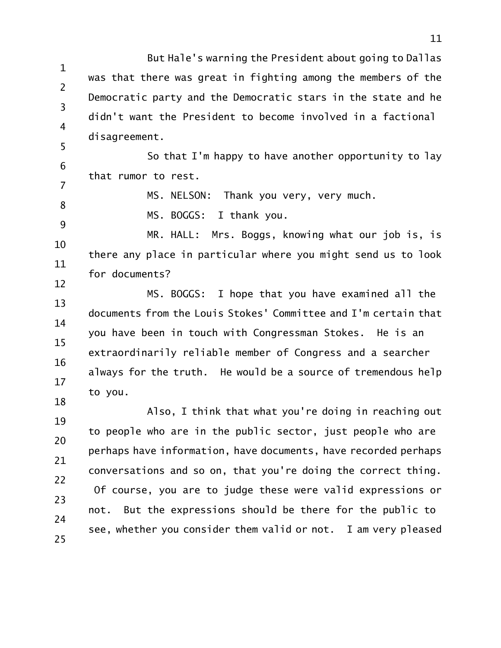1 2 3 4 5 But Hale's warning the President about going to Dallas was that there was great in fighting among the members of the Democratic party and the Democratic stars in the state and he didn't want the President to become involved in a factional disagreement.

6 7 So that I'm happy to have another opportunity to lay that rumor to rest.

MS. NELSON: Thank you very, very much.

8 9

MS. BOGGS: I thank you.

10 11 12 MR. HALL: Mrs. Boggs, knowing what our job is, is there any place in particular where you might send us to look for documents?

13 14 15 16 17 18 MS. BOGGS: I hope that you have examined all the documents from the Louis Stokes' Committee and I'm certain that you have been in touch with Congressman Stokes. He is an extraordinarily reliable member of Congress and a searcher always for the truth. He would be a source of tremendous help to you.

19 20 21 22 23 24 25 Also, I think that what you're doing in reaching out to people who are in the public sector, just people who are perhaps have information, have documents, have recorded perhaps conversations and so on, that you're doing the correct thing. Of course, you are to judge these were valid expressions or not. But the expressions should be there for the public to see, whether you consider them valid or not. I am very pleased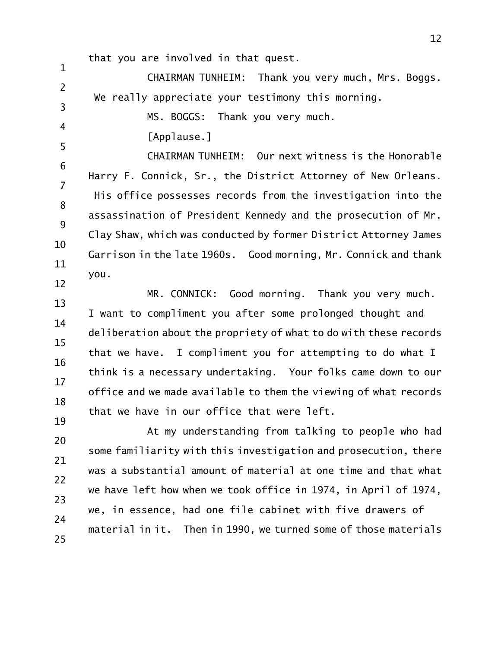that you are involved in that quest.

1 2 3 CHAIRMAN TUNHEIM: Thank you very much, Mrs. Boggs. We really appreciate your testimony this morning.

MS. BOGGS: Thank you very much.

[Applause.]

4

5

6 7 8 9 10 11 12 CHAIRMAN TUNHEIM: Our next witness is the Honorable Harry F. Connick, Sr., the District Attorney of New Orleans. His office possesses records from the investigation into the assassination of President Kennedy and the prosecution of Mr. Clay Shaw, which was conducted by former District Attorney James Garrison in the late 1960s. Good morning, Mr. Connick and thank you.

13 14 15 16 17 18 19 MR. CONNICK: Good morning. Thank you very much. I want to compliment you after some prolonged thought and deliberation about the propriety of what to do with these records that we have. I compliment you for attempting to do what I think is a necessary undertaking. Your folks came down to our office and we made available to them the viewing of what records that we have in our office that were left.

20 21 22 23 24 25 At my understanding from talking to people who had some familiarity with this investigation and prosecution, there was a substantial amount of material at one time and that what we have left how when we took office in 1974, in April of 1974, we, in essence, had one file cabinet with five drawers of material in it. Then in 1990, we turned some of those materials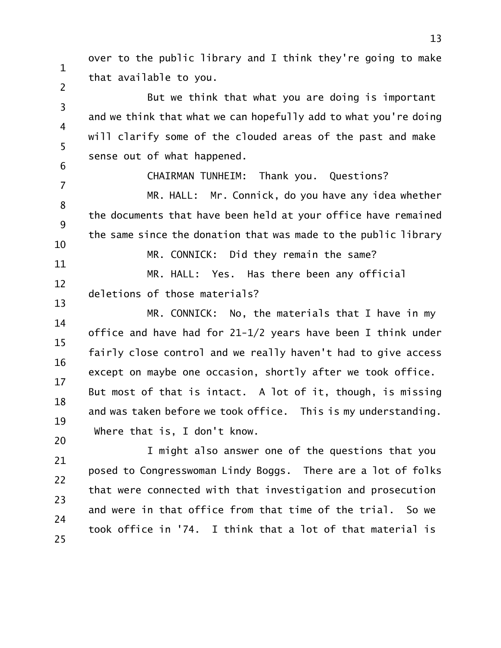over to the public library and I think they're going to make that available to you.

1

2

6

3 4 5 But we think that what you are doing is important and we think that what we can hopefully add to what you're doing will clarify some of the clouded areas of the past and make sense out of what happened.

CHAIRMAN TUNHEIM: Thank you. Questions?

7 8 9 10 MR. HALL: Mr. Connick, do you have any idea whether the documents that have been held at your office have remained the same since the donation that was made to the public library

11 12 13 MR. CONNICK: Did they remain the same? MR. HALL: Yes. Has there been any official deletions of those materials?

14 15 16 17 18 19 20 MR. CONNICK: No, the materials that I have in my office and have had for 21-1/2 years have been I think under fairly close control and we really haven't had to give access except on maybe one occasion, shortly after we took office. But most of that is intact. A lot of it, though, is missing and was taken before we took office. This is my understanding. Where that is, I don't know.

21 22 23 24 25 I might also answer one of the questions that you posed to Congresswoman Lindy Boggs. There are a lot of folks that were connected with that investigation and prosecution and were in that office from that time of the trial. So we took office in '74. I think that a lot of that material is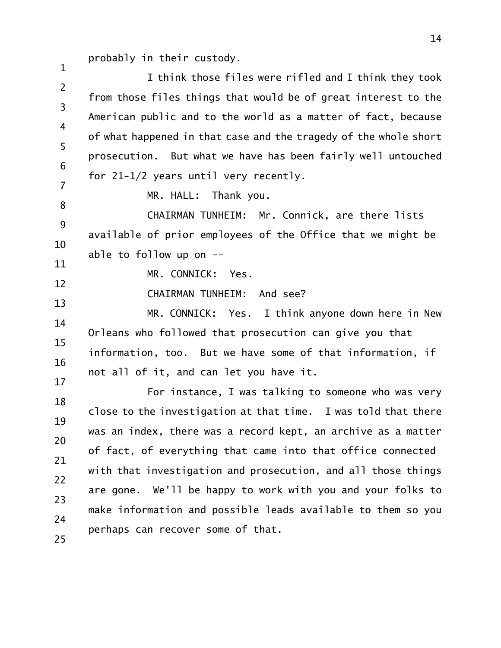probably in their custody.

2 3 4 5 6 7 I think those files were rifled and I think they took from those files things that would be of great interest to the American public and to the world as a matter of fact, because of what happened in that case and the tragedy of the whole short prosecution. But what we have has been fairly well untouched for 21-1/2 years until very recently.

MR. HALL: Thank you.

8 9 10 CHAIRMAN TUNHEIM: Mr. Connick, are there lists available of prior employees of the Office that we might be able to follow up on --

11 12

13

1

MR. CONNICK: Yes.

CHAIRMAN TUNHEIM: And see?

14 15 16 17 MR. CONNICK: Yes. I think anyone down here in New Orleans who followed that prosecution can give you that information, too. But we have some of that information, if not all of it, and can let you have it.

18 19 20 21 22 23 24 25 For instance, I was talking to someone who was very close to the investigation at that time. I was told that there was an index, there was a record kept, an archive as a matter of fact, of everything that came into that office connected with that investigation and prosecution, and all those things are gone. We'll be happy to work with you and your folks to make information and possible leads available to them so you perhaps can recover some of that.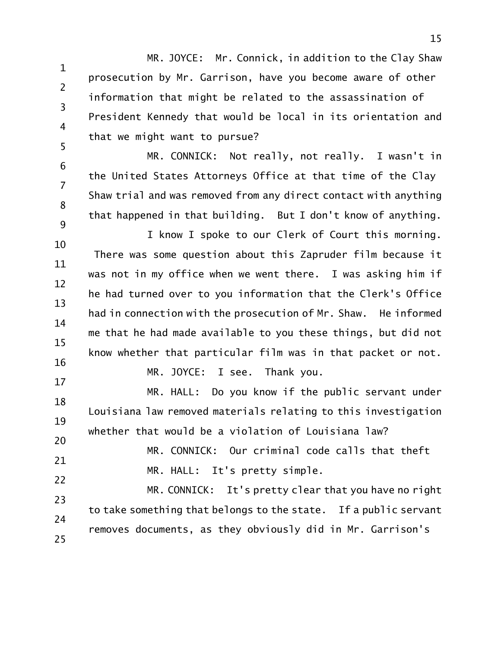1 2 3 4 5 MR. JOYCE: Mr. Connick, in addition to the Clay Shaw prosecution by Mr. Garrison, have you become aware of other information that might be related to the assassination of President Kennedy that would be local in its orientation and that we might want to pursue?

6 7 8 9 MR. CONNICK: Not really, not really. I wasn't in the United States Attorneys Office at that time of the Clay Shaw trial and was removed from any direct contact with anything that happened in that building. But I don't know of anything.

10 11 12 13 14 15 16 I know I spoke to our Clerk of Court this morning. There was some question about this Zapruder film because it was not in my office when we went there. I was asking him if he had turned over to you information that the Clerk's Office had in connection with the prosecution of Mr. Shaw. He informed me that he had made available to you these things, but did not know whether that particular film was in that packet or not. MR. JOYCE: I see. Thank you.

18 19 20 MR. HALL: Do you know if the public servant under Louisiana law removed materials relating to this investigation whether that would be a violation of Louisiana law?

17

21 22 MR. CONNICK: Our criminal code calls that theft MR. HALL: It's pretty simple.

23 24 25 MR. CONNICK: It's pretty clear that you have no right to take something that belongs to the state. If a public servant removes documents, as they obviously did in Mr. Garrison's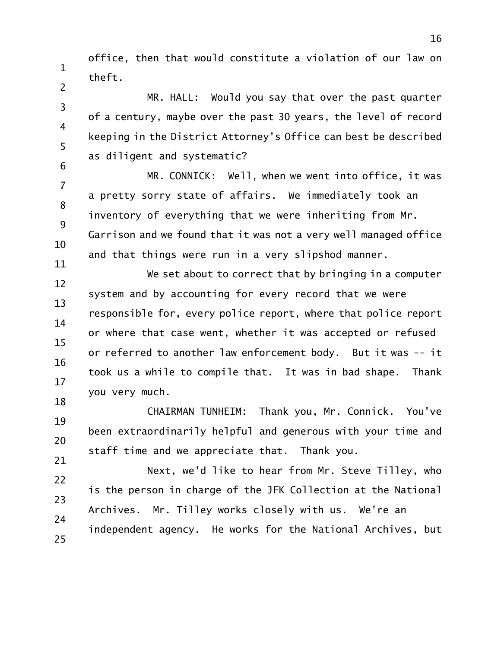1 2 office, then that would constitute a violation of our law on theft.

3 4 5 MR. HALL: Would you say that over the past quarter of a century, maybe over the past 30 years, the level of record keeping in the District Attorney's Office can best be described as diligent and systematic?

7 8 9 10 11 MR. CONNICK: Well, when we went into office, it was a pretty sorry state of affairs. We immediately took an inventory of everything that we were inheriting from Mr. Garrison and we found that it was not a very well managed office and that things were run in a very slipshod manner.

6

12 13 14 15 16 17 18 We set about to correct that by bringing in a computer system and by accounting for every record that we were responsible for, every police report, where that police report or where that case went, whether it was accepted or refused or referred to another law enforcement body. But it was -- it took us a while to compile that. It was in bad shape. Thank you very much.

19 20 21 CHAIRMAN TUNHEIM: Thank you, Mr. Connick. You've been extraordinarily helpful and generous with your time and staff time and we appreciate that. Thank you.

22 23 24 25 Next, we'd like to hear from Mr. Steve Tilley, who is the person in charge of the JFK Collection at the National Archives. Mr. Tilley works closely with us. We're an independent agency. He works for the National Archives, but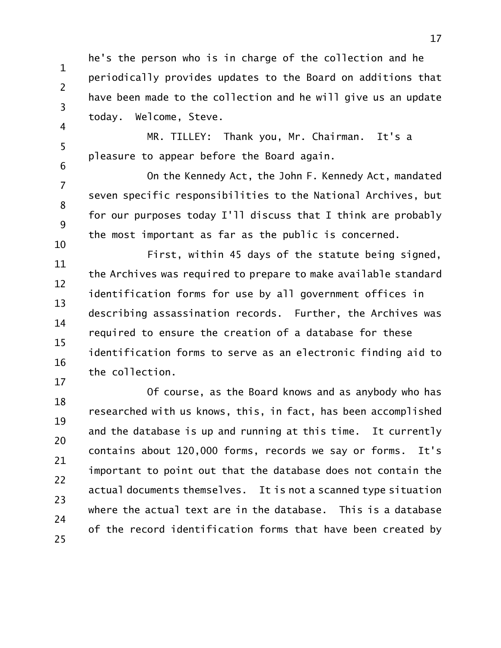1 2 3 4 he's the person who is in charge of the collection and he periodically provides updates to the Board on additions that have been made to the collection and he will give us an update today. Welcome, Steve.

5 6 MR. TILLEY: Thank you, Mr. Chairman. It's a pleasure to appear before the Board again.

7 8 9 10 On the Kennedy Act, the John F. Kennedy Act, mandated seven specific responsibilities to the National Archives, but for our purposes today I'll discuss that I think are probably the most important as far as the public is concerned.

11 12 13 14 15 16 First, within 45 days of the statute being signed, the Archives was required to prepare to make available standard identification forms for use by all government offices in describing assassination records. Further, the Archives was required to ensure the creation of a database for these identification forms to serve as an electronic finding aid to the collection.

17

18 19 20 21 22 23 24 25 Of course, as the Board knows and as anybody who has researched with us knows, this, in fact, has been accomplished and the database is up and running at this time. It currently contains about 120,000 forms, records we say or forms. It's important to point out that the database does not contain the actual documents themselves. It is not a scanned type situation where the actual text are in the database. This is a database of the record identification forms that have been created by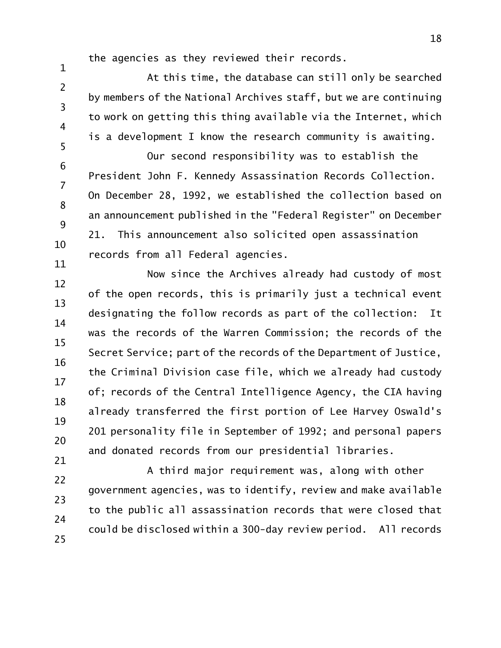the agencies as they reviewed their records.

1 2 3 4 5 At this time, the database can still only be searched by members of the National Archives staff, but we are continuing to work on getting this thing available via the Internet, which is a development I know the research community is awaiting.

6 7 8 9 10 11 Our second responsibility was to establish the President John F. Kennedy Assassination Records Collection. On December 28, 1992, we established the collection based on an announcement published in the "Federal Register" on December 21. This announcement also solicited open assassination records from all Federal agencies.

12 13 14 15 16 17 18 19 20 21 Now since the Archives already had custody of most of the open records, this is primarily just a technical event designating the follow records as part of the collection: It was the records of the Warren Commission; the records of the Secret Service; part of the records of the Department of Justice, the Criminal Division case file, which we already had custody of; records of the Central Intelligence Agency, the CIA having already transferred the first portion of Lee Harvey Oswald's 201 personality file in September of 1992; and personal papers and donated records from our presidential libraries.

22 23 24 25 A third major requirement was, along with other government agencies, was to identify, review and make available to the public all assassination records that were closed that could be disclosed within a 300-day review period. All records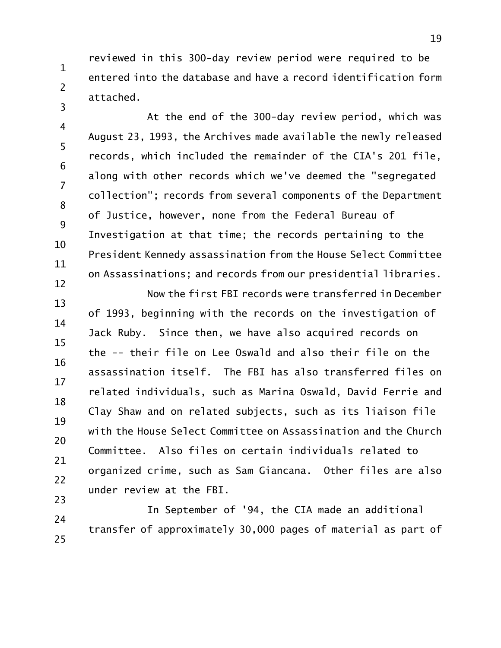reviewed in this 300-day review period were required to be entered into the database and have a record identification form attached.

1

2

3

4 5 6 7 8 9 10 11 12 At the end of the 300-day review period, which was August 23, 1993, the Archives made available the newly released records, which included the remainder of the CIA's 201 file, along with other records which we've deemed the "segregated collection"; records from several components of the Department of Justice, however, none from the Federal Bureau of Investigation at that time; the records pertaining to the President Kennedy assassination from the House Select Committee on Assassinations; and records from our presidential libraries.

13 14 15 16 17 18 19 20 21 22 23 Now the first FBI records were transferred in December of 1993, beginning with the records on the investigation of Jack Ruby. Since then, we have also acquired records on the -- their file on Lee Oswald and also their file on the assassination itself. The FBI has also transferred files on related individuals, such as Marina Oswald, David Ferrie and Clay Shaw and on related subjects, such as its liaison file with the House Select Committee on Assassination and the Church Committee. Also files on certain individuals related to organized crime, such as Sam Giancana. Other files are also under review at the FBI.

24 25 In September of '94, the CIA made an additional transfer of approximately 30,000 pages of material as part of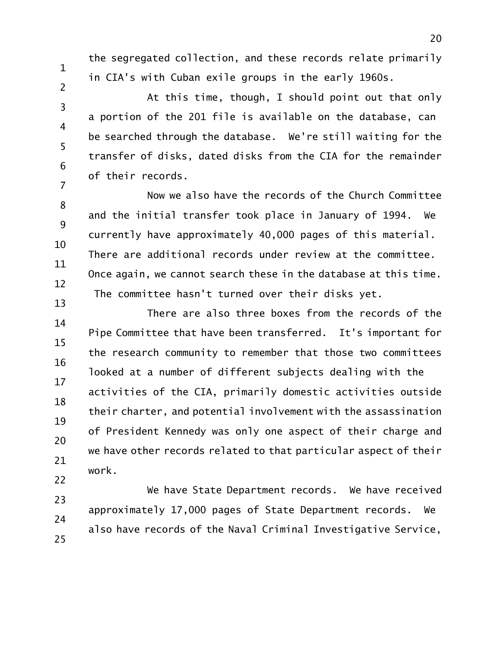1

2

3

4

5

6

7

the segregated collection, and these records relate primarily in CIA's with Cuban exile groups in the early 1960s.

At this time, though, I should point out that only a portion of the 201 file is available on the database, can be searched through the database. We're still waiting for the transfer of disks, dated disks from the CIA for the remainder of their records.

8 9 10 11 12 13 Now we also have the records of the Church Committee and the initial transfer took place in January of 1994. We currently have approximately 40,000 pages of this material. There are additional records under review at the committee. Once again, we cannot search these in the database at this time. The committee hasn't turned over their disks yet.

14 15 16 17 18 19 20 21 22 There are also three boxes from the records of the Pipe Committee that have been transferred. It's important for the research community to remember that those two committees looked at a number of different subjects dealing with the activities of the CIA, primarily domestic activities outside their charter, and potential involvement with the assassination of President Kennedy was only one aspect of their charge and we have other records related to that particular aspect of their work.

23 24 25 We have State Department records. We have received approximately 17,000 pages of State Department records. We also have records of the Naval Criminal Investigative Service,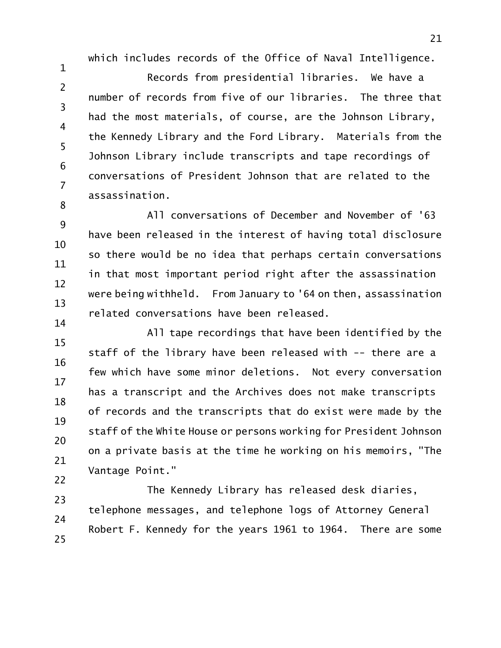which includes records of the Office of Naval Intelligence.

1 2 3 4 5 6 7 8 Records from presidential libraries. We have a number of records from five of our libraries. The three that had the most materials, of course, are the Johnson Library, the Kennedy Library and the Ford Library. Materials from the Johnson Library include transcripts and tape recordings of conversations of President Johnson that are related to the assassination.

9 10 11 12 13 14 All conversations of December and November of '63 have been released in the interest of having total disclosure so there would be no idea that perhaps certain conversations in that most important period right after the assassination were being withheld. From January to '64 on then, assassination related conversations have been released.

15 16 17 18 19 20 21 22 All tape recordings that have been identified by the staff of the library have been released with -- there are a few which have some minor deletions. Not every conversation has a transcript and the Archives does not make transcripts of records and the transcripts that do exist were made by the staff of the White House or persons working for President Johnson on a private basis at the time he working on his memoirs, "The Vantage Point."

23 24 25 The Kennedy Library has released desk diaries, telephone messages, and telephone logs of Attorney General Robert F. Kennedy for the years 1961 to 1964. There are some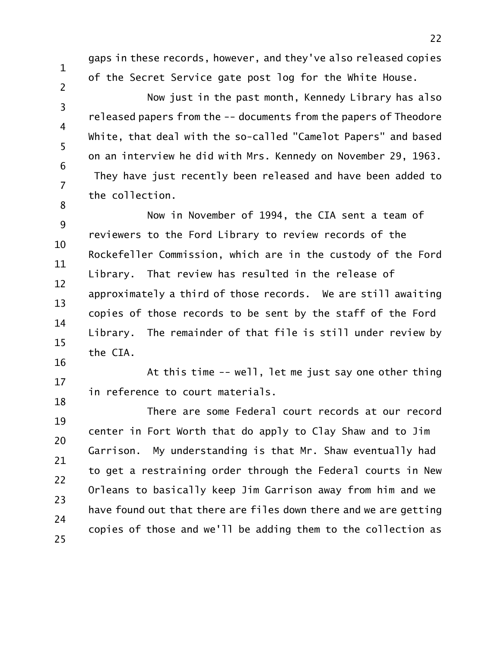gaps in these records, however, and they've also released copies of the Secret Service gate post log for the White House.

1

2

3

4

5

6

7

8

Now just in the past month, Kennedy Library has also released papers from the -- documents from the papers of Theodore White, that deal with the so-called "Camelot Papers" and based on an interview he did with Mrs. Kennedy on November 29, 1963. They have just recently been released and have been added to the collection.

9 10 11 12 13 14 15 16 Now in November of 1994, the CIA sent a team of reviewers to the Ford Library to review records of the Rockefeller Commission, which are in the custody of the Ford Library. That review has resulted in the release of approximately a third of those records. We are still awaiting copies of those records to be sent by the staff of the Ford Library. The remainder of that file is still under review by the CIA.

17 18 At this time -- well, let me just say one other thing in reference to court materials.

19 20 21 22 23 24 25 There are some Federal court records at our record center in Fort Worth that do apply to Clay Shaw and to Jim Garrison. My understanding is that Mr. Shaw eventually had to get a restraining order through the Federal courts in New Orleans to basically keep Jim Garrison away from him and we have found out that there are files down there and we are getting copies of those and we'll be adding them to the collection as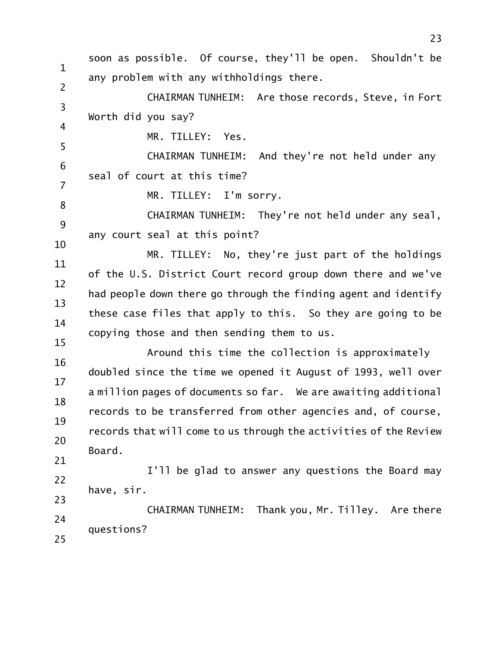1 2 3 4 5 6 7 8 9 10 11 12 13 14 15 16 17 18 19 20 21 22 23 24 25 soon as possible. Of course, they'll be open. Shouldn't be any problem with any withholdings there. CHAIRMAN TUNHEIM: Are those records, Steve, in Fort Worth did you say? MR. TILLEY: Yes. CHAIRMAN TUNHEIM: And they're not held under any seal of court at this time? MR. TILLEY: I'm sorry. CHAIRMAN TUNHEIM: They're not held under any seal, any court seal at this point? MR. TILLEY: No, they're just part of the holdings of the U.S. District Court record group down there and we've had people down there go through the finding agent and identify these case files that apply to this. So they are going to be copying those and then sending them to us. Around this time the collection is approximately doubled since the time we opened it August of 1993, well over a million pages of documents so far. We are awaiting additional records to be transferred from other agencies and, of course, records that will come to us through the activities of the Review Board. I'll be glad to answer any questions the Board may have, sir. CHAIRMAN TUNHEIM: Thank you, Mr. Tilley. Are there questions?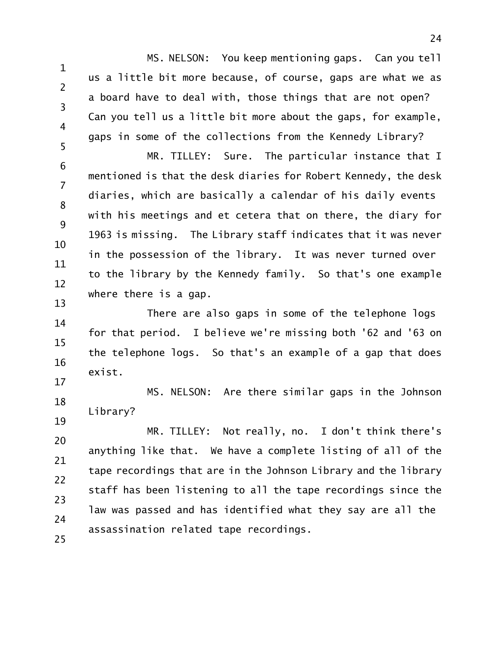1 2 3 4 5 MS. NELSON: You keep mentioning gaps. Can you tell us a little bit more because, of course, gaps are what we as a board have to deal with, those things that are not open? Can you tell us a little bit more about the gaps, for example, gaps in some of the collections from the Kennedy Library?

6 7 8 9 10 11 12 13 MR. TILLEY: Sure. The particular instance that I mentioned is that the desk diaries for Robert Kennedy, the desk diaries, which are basically a calendar of his daily events with his meetings and et cetera that on there, the diary for 1963 is missing. The Library staff indicates that it was never in the possession of the library. It was never turned over to the library by the Kennedy family. So that's one example where there is a gap.

14 15 16 17 There are also gaps in some of the telephone logs for that period. I believe we're missing both '62 and '63 on the telephone logs. So that's an example of a gap that does exist.

18 19 MS. NELSON: Are there similar gaps in the Johnson Library?

20 21 22 23 24 25 MR. TILLEY: Not really, no. I don't think there's anything like that. We have a complete listing of all of the tape recordings that are in the Johnson Library and the library staff has been listening to all the tape recordings since the law was passed and has identified what they say are all the assassination related tape recordings.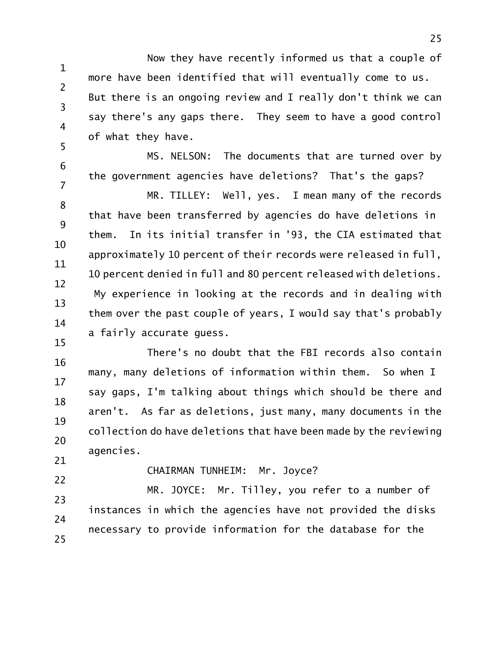1 2 3 4 5 Now they have recently informed us that a couple of more have been identified that will eventually come to us. But there is an ongoing review and I really don't think we can say there's any gaps there. They seem to have a good control of what they have.

MS. NELSON: The documents that are turned over by the government agencies have deletions? That's the gaps?

8 9 10 11 12 13 14 MR. TILLEY: Well, yes. I mean many of the records that have been transferred by agencies do have deletions in them. In its initial transfer in '93, the CIA estimated that approximately 10 percent of their records were released in full, 10 percent denied in full and 80 percent released with deletions. My experience in looking at the records and in dealing with them over the past couple of years, I would say that's probably a fairly accurate guess.

16 17 18 19 20 21 There's no doubt that the FBI records also contain many, many deletions of information within them. So when I say gaps, I'm talking about things which should be there and aren't. As far as deletions, just many, many documents in the collection do have deletions that have been made by the reviewing agencies.

22

15

6

7

CHAIRMAN TUNHEIM: Mr. Joyce?

23 24 25 MR. JOYCE: Mr. Tilley, you refer to a number of instances in which the agencies have not provided the disks necessary to provide information for the database for the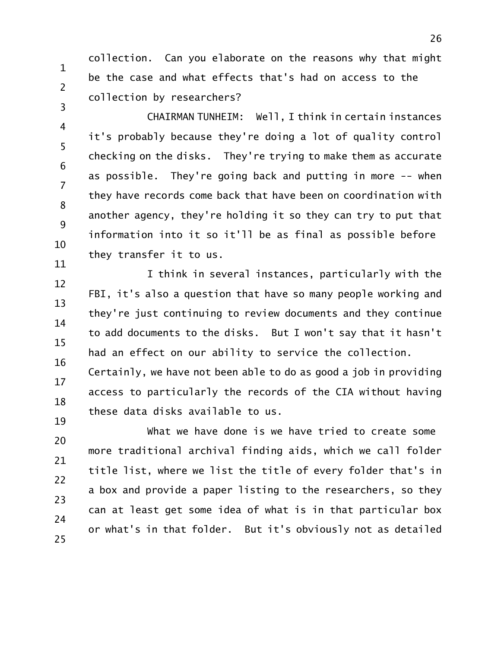collection. Can you elaborate on the reasons why that might be the case and what effects that's had on access to the collection by researchers?

1

2

3

4 5 6 7 8 9 10 11 CHAIRMAN TUNHEIM: Well, I think in certain instances it's probably because they're doing a lot of quality control checking on the disks. They're trying to make them as accurate as possible. They're going back and putting in more -- when they have records come back that have been on coordination with another agency, they're holding it so they can try to put that information into it so it'll be as final as possible before they transfer it to us.

12 13 14 15 16 I think in several instances, particularly with the FBI, it's also a question that have so many people working and they're just continuing to review documents and they continue to add documents to the disks. But I won't say that it hasn't had an effect on our ability to service the collection.

17 18 19 Certainly, we have not been able to do as good a job in providing access to particularly the records of the CIA without having these data disks available to us.

20 21 22 23 24 25 What we have done is we have tried to create some more traditional archival finding aids, which we call folder title list, where we list the title of every folder that's in a box and provide a paper listing to the researchers, so they can at least get some idea of what is in that particular box or what's in that folder. But it's obviously not as detailed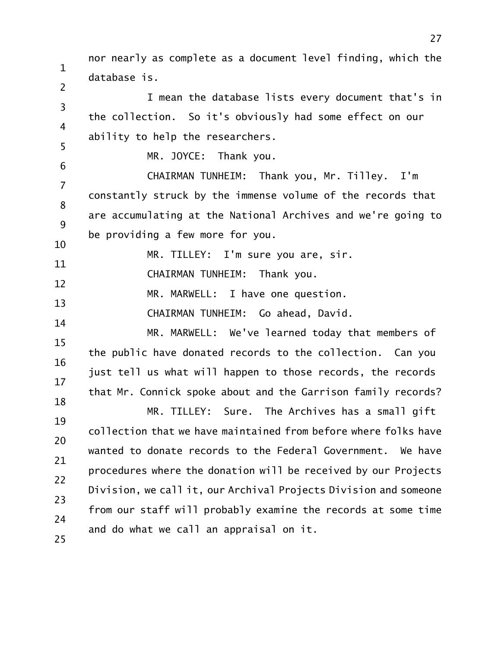1 2 3 4 5 6 7 8 9 10 11 12 13 14 15 16 17 18 19 20 21 22 23 24 25 nor nearly as complete as a document level finding, which the database is. I mean the database lists every document that's in the collection. So it's obviously had some effect on our ability to help the researchers. MR. JOYCE: Thank you. CHAIRMAN TUNHEIM: Thank you, Mr. Tilley. I'm constantly struck by the immense volume of the records that are accumulating at the National Archives and we're going to be providing a few more for you. MR. TILLEY: I'm sure you are, sir. CHAIRMAN TUNHEIM: Thank you. MR. MARWELL: I have one question. CHAIRMAN TUNHEIM: Go ahead, David. MR. MARWELL: We've learned today that members of the public have donated records to the collection. Can you just tell us what will happen to those records, the records that Mr. Connick spoke about and the Garrison family records? MR. TILLEY: Sure. The Archives has a small gift collection that we have maintained from before where folks have wanted to donate records to the Federal Government. We have procedures where the donation will be received by our Projects Division, we call it, our Archival Projects Division and someone from our staff will probably examine the records at some time and do what we call an appraisal on it.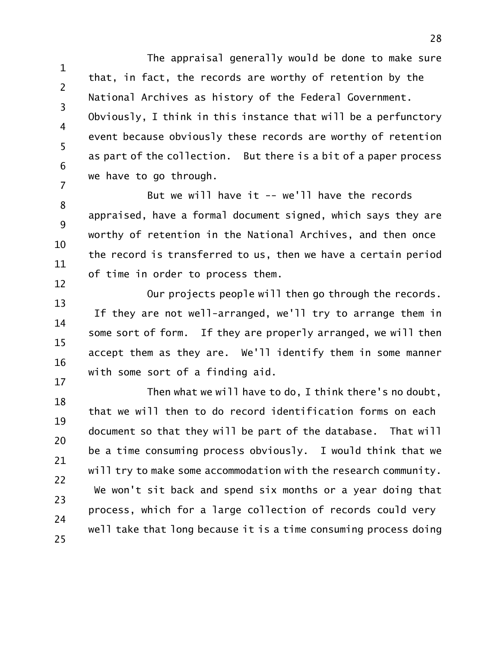1 2 3 4 5 6 7 The appraisal generally would be done to make sure that, in fact, the records are worthy of retention by the National Archives as history of the Federal Government. Obviously, I think in this instance that will be a perfunctory event because obviously these records are worthy of retention as part of the collection. But there is a bit of a paper process we have to go through.

8 9 10 11 12 But we will have it -- we'll have the records appraised, have a formal document signed, which says they are worthy of retention in the National Archives, and then once the record is transferred to us, then we have a certain period of time in order to process them.

13 14 15 16 17 Our projects people will then go through the records. If they are not well-arranged, we'll try to arrange them in some sort of form. If they are properly arranged, we will then accept them as they are. We'll identify them in some manner with some sort of a finding aid.

18 19 20 21 22 23 24 25 Then what we will have to do, I think there's no doubt, that we will then to do record identification forms on each document so that they will be part of the database. That will be a time consuming process obviously. I would think that we will try to make some accommodation with the research community. We won't sit back and spend six months or a year doing that process, which for a large collection of records could very well take that long because it is a time consuming process doing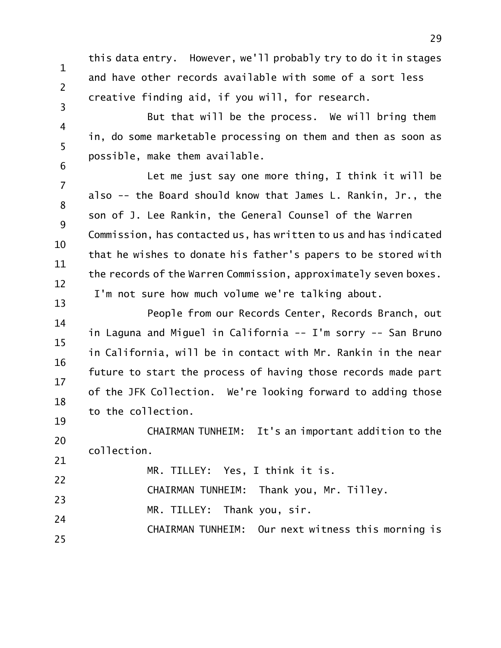this data entry. However, we'll probably try to do it in stages and have other records available with some of a sort less creative finding aid, if you will, for research.

1

2

3

4 5 6 But that will be the process. We will bring them in, do some marketable processing on them and then as soon as possible, make them available.

7 8 9 10 11 12 13 Let me just say one more thing, I think it will be also -- the Board should know that James L. Rankin, Jr., the son of J. Lee Rankin, the General Counsel of the Warren Commission, has contacted us, has written to us and has indicated that he wishes to donate his father's papers to be stored with the records of the Warren Commission, approximately seven boxes. I'm not sure how much volume we're talking about.

14 15 16 17 18 19 People from our Records Center, Records Branch, out in Laguna and Miguel in California -- I'm sorry -- San Bruno in California, will be in contact with Mr. Rankin in the near future to start the process of having those records made part of the JFK Collection. We're looking forward to adding those to the collection.

20 CHAIRMAN TUNHEIM: It's an important addition to the collection.

21 22 23 24 25 MR. TILLEY: Yes, I think it is. CHAIRMAN TUNHEIM: Thank you, Mr. Tilley. MR. TILLEY: Thank you, sir. CHAIRMAN TUNHEIM: Our next witness this morning is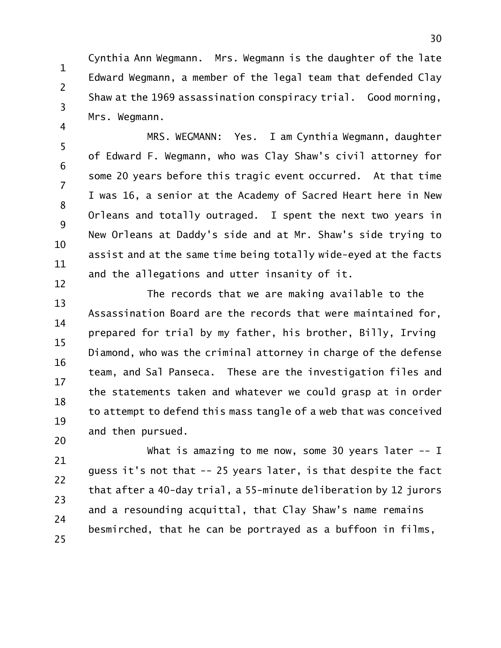1 2 3 4 Cynthia Ann Wegmann. Mrs. Wegmann is the daughter of the late Edward Wegmann, a member of the legal team that defended Clay Shaw at the 1969 assassination conspiracy trial. Good morning, Mrs. Wegmann.

5 6 7 8 9 10 11 12 MRS. WEGMANN: Yes. I am Cynthia Wegmann, daughter of Edward F. Wegmann, who was Clay Shaw's civil attorney for some 20 years before this tragic event occurred. At that time I was 16, a senior at the Academy of Sacred Heart here in New Orleans and totally outraged. I spent the next two years in New Orleans at Daddy's side and at Mr. Shaw's side trying to assist and at the same time being totally wide-eyed at the facts and the allegations and utter insanity of it.

13 14 15 16 17 18 19 20 The records that we are making available to the Assassination Board are the records that were maintained for, prepared for trial by my father, his brother, Billy, Irving Diamond, who was the criminal attorney in charge of the defense team, and Sal Panseca. These are the investigation files and the statements taken and whatever we could grasp at in order to attempt to defend this mass tangle of a web that was conceived and then pursued.

21 22 23 24 25 What is amazing to me now, some 30 years later -- I guess it's not that -- 25 years later, is that despite the fact that after a 40-day trial, a 55-minute deliberation by 12 jurors and a resounding acquittal, that Clay Shaw's name remains besmirched, that he can be portrayed as a buffoon in films,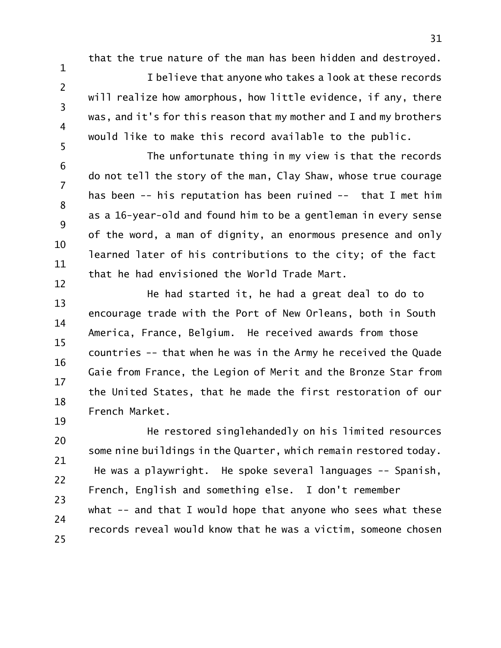that the true nature of the man has been hidden and destroyed.

1

2

3

4

5

I believe that anyone who takes a look at these records will realize how amorphous, how little evidence, if any, there was, and it's for this reason that my mother and I and my brothers would like to make this record available to the public.

6 7 8 9 10 11 12 The unfortunate thing in my view is that the records do not tell the story of the man, Clay Shaw, whose true courage has been -- his reputation has been ruined -- that I met him as a 16-year-old and found him to be a gentleman in every sense of the word, a man of dignity, an enormous presence and only learned later of his contributions to the city; of the fact that he had envisioned the World Trade Mart.

13 14 15 16 17 18 19 He had started it, he had a great deal to do to encourage trade with the Port of New Orleans, both in South America, France, Belgium. He received awards from those countries -- that when he was in the Army he received the Quade Gaie from France, the Legion of Merit and the Bronze Star from the United States, that he made the first restoration of our French Market.

20 21 22 23 24 25 He restored singlehandedly on his limited resources some nine buildings in the Quarter, which remain restored today. He was a playwright. He spoke several languages -- Spanish, French, English and something else. I don't remember what -- and that I would hope that anyone who sees what these records reveal would know that he was a victim, someone chosen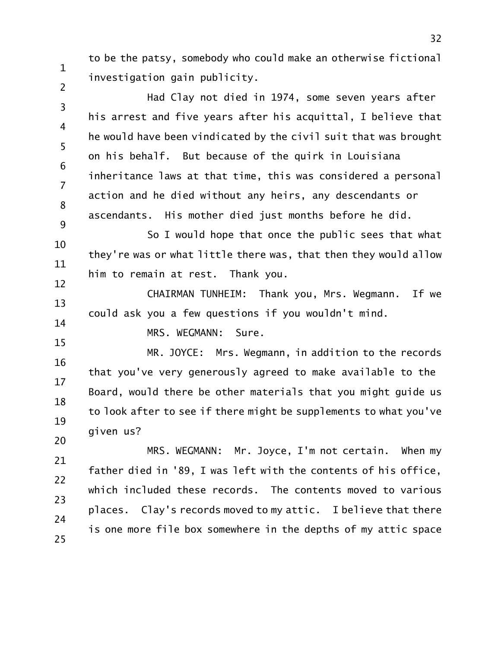to be the patsy, somebody who could make an otherwise fictional investigation gain publicity.

3 4 5 6 7 8 9 Had Clay not died in 1974, some seven years after his arrest and five years after his acquittal, I believe that he would have been vindicated by the civil suit that was brought on his behalf. But because of the quirk in Louisiana inheritance laws at that time, this was considered a personal action and he died without any heirs, any descendants or ascendants. His mother died just months before he did.

10 11 12 So I would hope that once the public sees that what they're was or what little there was, that then they would allow him to remain at rest. Thank you.

13 14 CHAIRMAN TUNHEIM: Thank you, Mrs. Wegmann. If we could ask you a few questions if you wouldn't mind.

MRS. WEGMANN: Sure.

1

2

15

16 17 18 19 20 MR. JOYCE: Mrs. Wegmann, in addition to the records that you've very generously agreed to make available to the Board, would there be other materials that you might guide us to look after to see if there might be supplements to what you've given us?

21 22 23 24 25 MRS. WEGMANN: Mr. Joyce, I'm not certain. When my father died in '89, I was left with the contents of his office, which included these records. The contents moved to various places. Clay's records moved to my attic. I believe that there is one more file box somewhere in the depths of my attic space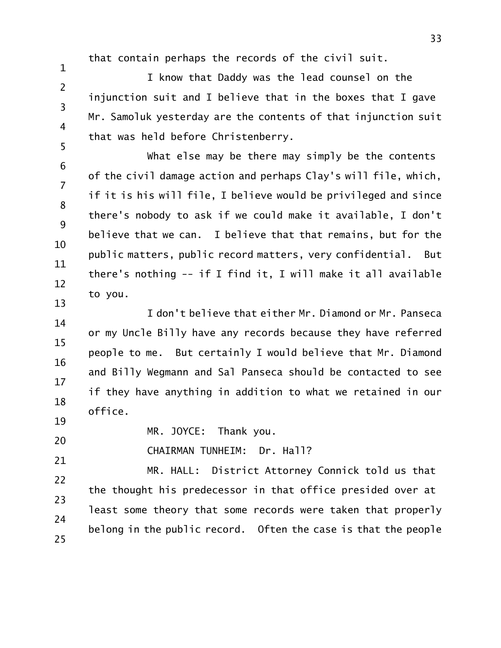that contain perhaps the records of the civil suit.

I know that Daddy was the lead counsel on the injunction suit and I believe that in the boxes that I gave Mr. Samoluk yesterday are the contents of that injunction suit that was held before Christenberry.

6 7 8 9 10 11 12 13 What else may be there may simply be the contents of the civil damage action and perhaps Clay's will file, which, if it is his will file, I believe would be privileged and since there's nobody to ask if we could make it available, I don't believe that we can. I believe that that remains, but for the public matters, public record matters, very confidential. But there's nothing -- if I find it, I will make it all available to you.

14 15 16 17 18 I don't believe that either Mr. Diamond or Mr. Panseca or my Uncle Billy have any records because they have referred people to me. But certainly I would believe that Mr. Diamond and Billy Wegmann and Sal Panseca should be contacted to see if they have anything in addition to what we retained in our office.

20 MR. JOYCE: Thank you.

1

2

3

4

5

19

21

CHAIRMAN TUNHEIM: Dr. Hall?

22 23 24 25 MR. HALL: District Attorney Connick told us that the thought his predecessor in that office presided over at least some theory that some records were taken that properly belong in the public record. Often the case is that the people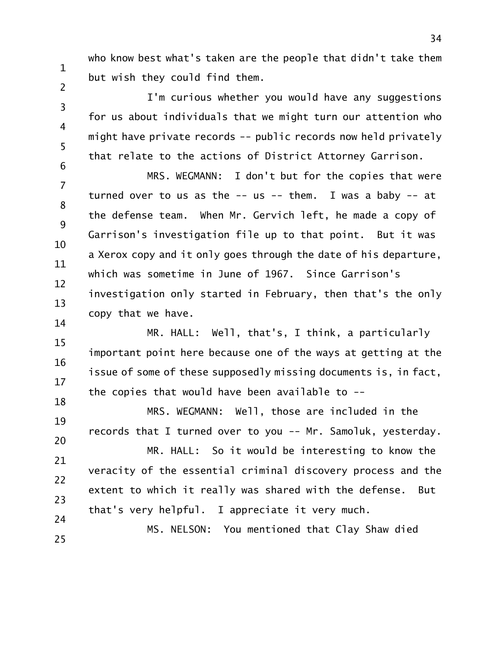who know best what's taken are the people that didn't take them but wish they could find them.

1

2

5

3 4 6 I'm curious whether you would have any suggestions for us about individuals that we might turn our attention who might have private records -- public records now held privately that relate to the actions of District Attorney Garrison.

7 8 9 10 11 12 13 14 MRS. WEGMANN: I don't but for the copies that were turned over to us as the  $--$  us  $--$  them. I was a baby  $--$  at the defense team. When Mr. Gervich left, he made a copy of Garrison's investigation file up to that point. But it was a Xerox copy and it only goes through the date of his departure, which was sometime in June of 1967. Since Garrison's investigation only started in February, then that's the only copy that we have.

15 16 17 18 MR. HALL: Well, that's, I think, a particularly important point here because one of the ways at getting at the issue of some of these supposedly missing documents is, in fact, the copies that would have been available to --

19 20 MRS. WEGMANN: Well, those are included in the records that I turned over to you -- Mr. Samoluk, yesterday. MR. HALL: So it would be interesting to know the

21 22 23 24 veracity of the essential criminal discovery process and the extent to which it really was shared with the defense. But that's very helpful. I appreciate it very much.

25 MS. NELSON: You mentioned that Clay Shaw died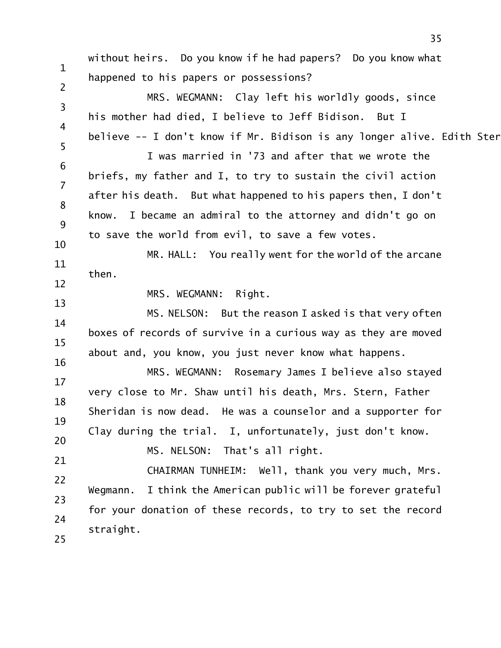1 2 3 4 5 6 7 8 9 10 11 12 13 14 15 16 17 18 19 20 21 22 23 24 25 without heirs. Do you know if he had papers? Do you know what happened to his papers or possessions? MRS. WEGMANN: Clay left his worldly goods, since his mother had died, I believe to Jeff Bidison. But I believe -- I don't know if Mr. Bidison is any longer alive. Edith Ster I was married in '73 and after that we wrote the briefs, my father and I, to try to sustain the civil action after his death. But what happened to his papers then, I don't know. I became an admiral to the attorney and didn't go on to save the world from evil, to save a few votes. MR. HALL: You really went for the world of the arcane then. MRS. WEGMANN: Right. MS. NELSON: But the reason I asked is that very often boxes of records of survive in a curious way as they are moved about and, you know, you just never know what happens. MRS. WEGMANN: Rosemary James I believe also stayed very close to Mr. Shaw until his death, Mrs. Stern, Father Sheridan is now dead. He was a counselor and a supporter for Clay during the trial. I, unfortunately, just don't know. MS. NELSON: That's all right. CHAIRMAN TUNHEIM: Well, thank you very much, Mrs. Wegmann. I think the American public will be forever grateful for your donation of these records, to try to set the record straight.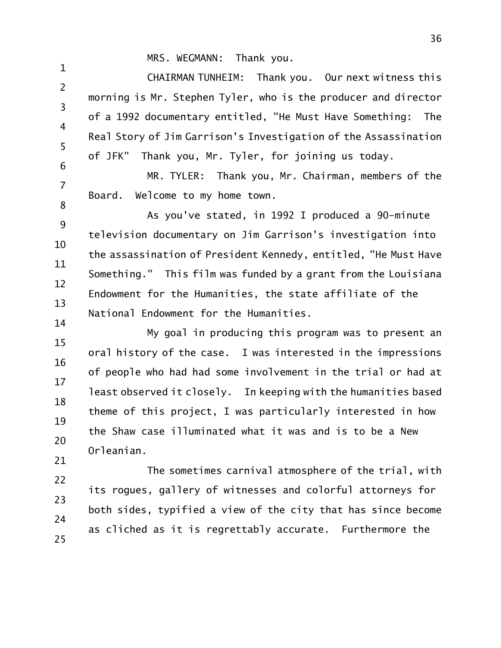MRS. WEGMANN: Thank you.

1

2 3 4 5 6 CHAIRMAN TUNHEIM: Thank you. Our next witness this morning is Mr. Stephen Tyler, who is the producer and director of a 1992 documentary entitled, "He Must Have Something: The Real Story of Jim Garrison's Investigation of the Assassination of JFK" Thank you, Mr. Tyler, for joining us today.

7 8 MR. TYLER: Thank you, Mr. Chairman, members of the Board. Welcome to my home town.

9 10 11 12 13 14 As you've stated, in 1992 I produced a 90-minute television documentary on Jim Garrison's investigation into the assassination of President Kennedy, entitled, "He Must Have Something." This film was funded by a grant from the Louisiana Endowment for the Humanities, the state affiliate of the National Endowment for the Humanities.

15 16 17 18 19 20 21 My goal in producing this program was to present an oral history of the case. I was interested in the impressions of people who had had some involvement in the trial or had at least observed it closely. In keeping with the humanities based theme of this project, I was particularly interested in how the Shaw case illuminated what it was and is to be a New Orleanian.

22 23 24 25 The sometimes carnival atmosphere of the trial, with its rogues, gallery of witnesses and colorful attorneys for both sides, typified a view of the city that has since become as cliched as it is regrettably accurate. Furthermore the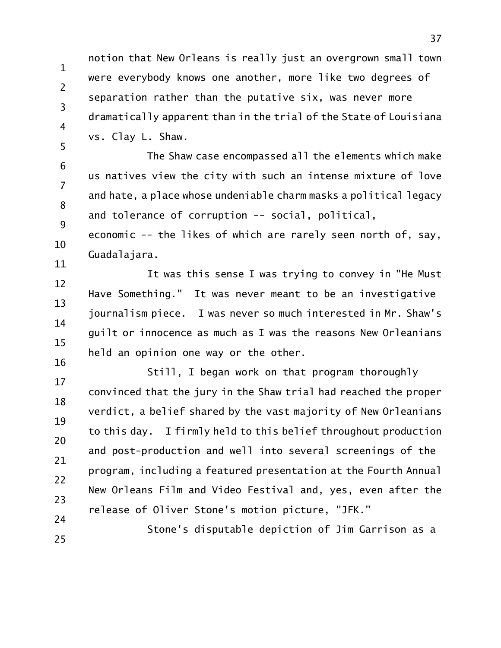1 2 3 4 5 notion that New Orleans is really just an overgrown small town were everybody knows one another, more like two degrees of separation rather than the putative six, was never more dramatically apparent than in the trial of the State of Louisiana vs. Clay L. Shaw.

6 7 8 9 The Shaw case encompassed all the elements which make us natives view the city with such an intense mixture of love and hate, a place whose undeniable charm masks a political legacy and tolerance of corruption -- social, political,

10 11 economic -- the likes of which are rarely seen north of, say, Guadalajara.

12 13 14 15 16 It was this sense I was trying to convey in "He Must Have Something." It was never meant to be an investigative journalism piece. I was never so much interested in Mr. Shaw's guilt or innocence as much as I was the reasons New Orleanians held an opinion one way or the other.

17 18 19 20 21 22 23 24 Still, I began work on that program thoroughly convinced that the jury in the Shaw trial had reached the proper verdict, a belief shared by the vast majority of New Orleanians to this day. I firmly held to this belief throughout production and post-production and well into several screenings of the program, including a featured presentation at the Fourth Annual New Orleans Film and Video Festival and, yes, even after the release of Oliver Stone's motion picture, "JFK."

25

Stone's disputable depiction of Jim Garrison as a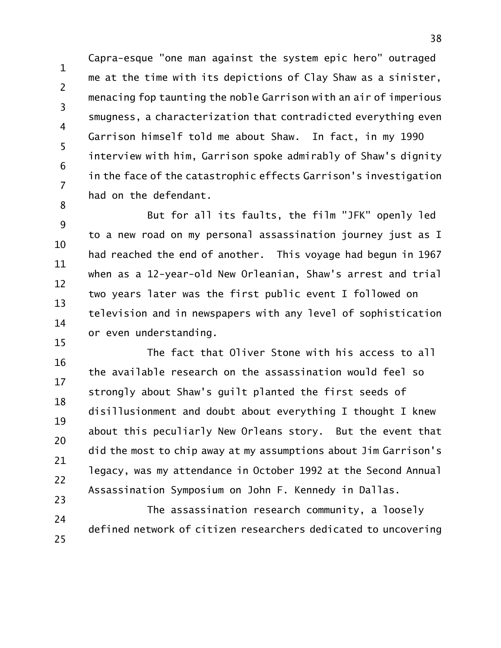1 2 3 4 5 6 7 8 Capra-esque "one man against the system epic hero" outraged me at the time with its depictions of Clay Shaw as a sinister, menacing fop taunting the noble Garrison with an air of imperious smugness, a characterization that contradicted everything even Garrison himself told me about Shaw. In fact, in my 1990 interview with him, Garrison spoke admirably of Shaw's dignity in the face of the catastrophic effects Garrison's investigation had on the defendant.

9 10 11 12 13 14 15 But for all its faults, the film "JFK" openly led to a new road on my personal assassination journey just as I had reached the end of another. This voyage had begun in 1967 when as a 12-year-old New Orleanian, Shaw's arrest and trial two years later was the first public event I followed on television and in newspapers with any level of sophistication or even understanding.

16 17 18 19 20 21 22 23 The fact that Oliver Stone with his access to all the available research on the assassination would feel so strongly about Shaw's guilt planted the first seeds of disillusionment and doubt about everything I thought I knew about this peculiarly New Orleans story. But the event that did the most to chip away at my assumptions about Jim Garrison's legacy, was my attendance in October 1992 at the Second Annual Assassination Symposium on John F. Kennedy in Dallas.

24 25 The assassination research community, a loosely defined network of citizen researchers dedicated to uncovering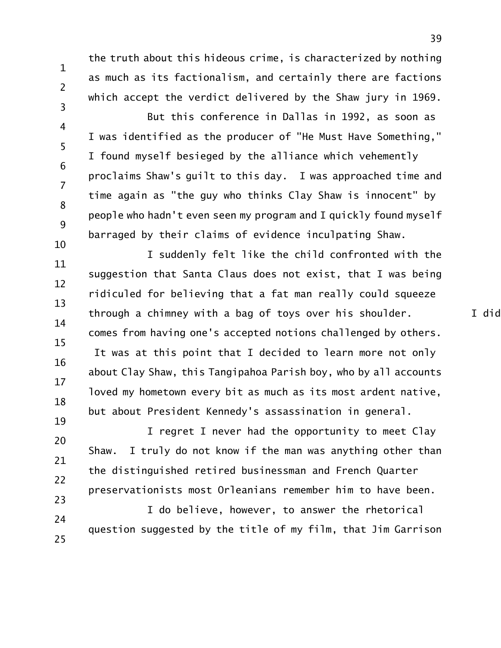1 2

- the truth about this hideous crime, is characterized by nothing as much as its factionalism, and certainly there are factions which accept the verdict delivered by the Shaw jury in 1969.
- 4 5 6 7 8 9 But this conference in Dallas in 1992, as soon as I was identified as the producer of "He Must Have Something," I found myself besieged by the alliance which vehemently proclaims Shaw's guilt to this day. I was approached time and time again as "the guy who thinks Clay Shaw is innocent" by people who hadn't even seen my program and I quickly found myself barraged by their claims of evidence inculpating Shaw.
- 10 11 12 13 14 15 16 17 18 19 I suddenly felt like the child confronted with the suggestion that Santa Claus does not exist, that I was being ridiculed for believing that a fat man really could squeeze through a chimney with a bag of toys over his shoulder.  $I$  did comes from having one's accepted notions challenged by others. It was at this point that I decided to learn more not only about Clay Shaw, this Tangipahoa Parish boy, who by all accounts loved my hometown every bit as much as its most ardent native, but about President Kennedy's assassination in general.
- 20 21 22 23 I regret I never had the opportunity to meet Clay Shaw. I truly do not know if the man was anything other than the distinguished retired businessman and French Quarter preservationists most Orleanians remember him to have been.
- 24 25 I do believe, however, to answer the rhetorical question suggested by the title of my film, that Jim Garrison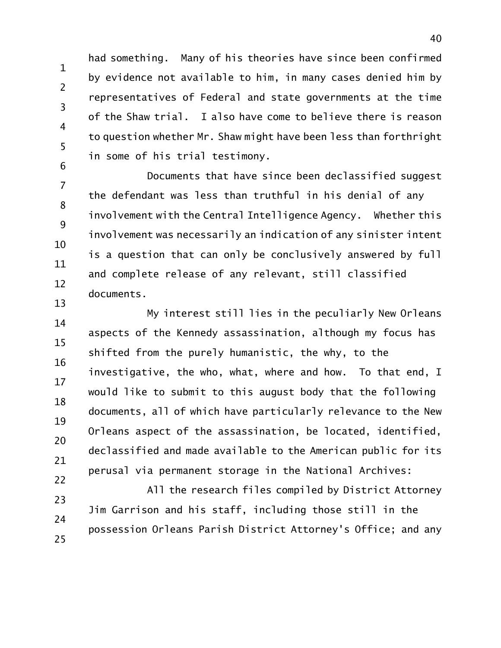1 2 3 6 had something. Many of his theories have since been confirmed by evidence not available to him, in many cases denied him by representatives of Federal and state governments at the time of the Shaw trial. I also have come to believe there is reason to question whether Mr. Shaw might have been less than forthright in some of his trial testimony.

4

5

7 8 9 10 11 12 13 Documents that have since been declassified suggest the defendant was less than truthful in his denial of any involvement with the Central Intelligence Agency. Whether this involvement was necessarily an indication of any sinister intent is a question that can only be conclusively answered by full and complete release of any relevant, still classified documents.

14 15 16 17 18 19 20 21 22 My interest still lies in the peculiarly New Orleans aspects of the Kennedy assassination, although my focus has shifted from the purely humanistic, the why, to the investigative, the who, what, where and how. To that end, I would like to submit to this august body that the following documents, all of which have particularly relevance to the New Orleans aspect of the assassination, be located, identified, declassified and made available to the American public for its perusal via permanent storage in the National Archives:

23 24 25 All the research files compiled by District Attorney Jim Garrison and his staff, including those still in the possession Orleans Parish District Attorney's Office; and any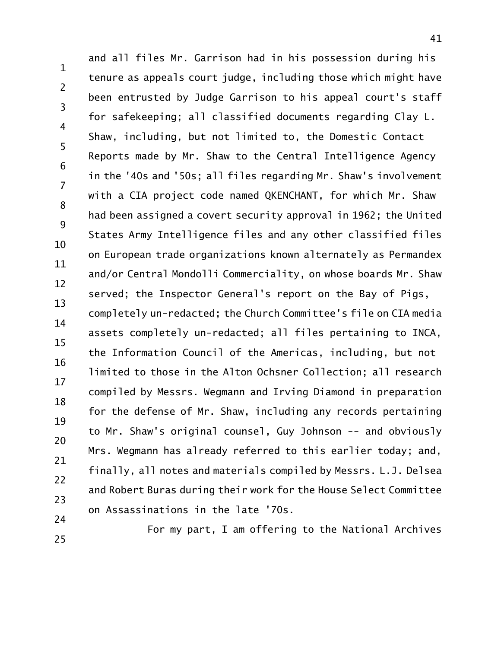1 2 3 4 5 6 7 8 9 10 11 12 13 14 15 16 17 18 19 20 21 22 23 24 and all files Mr. Garrison had in his possession during his tenure as appeals court judge, including those which might have been entrusted by Judge Garrison to his appeal court's staff for safekeeping; all classified documents regarding Clay L. Shaw, including, but not limited to, the Domestic Contact Reports made by Mr. Shaw to the Central Intelligence Agency in the '40s and '50s; all files regarding Mr. Shaw's involvement with a CIA project code named QKENCHANT, for which Mr. Shaw had been assigned a covert security approval in 1962; the United States Army Intelligence files and any other classified files on European trade organizations known alternately as Permandex and/or Central Mondolli Commerciality, on whose boards Mr. Shaw served; the Inspector General's report on the Bay of Pigs, completely un-redacted; the Church Committee's file on CIA media assets completely un-redacted; all files pertaining to INCA, the Information Council of the Americas, including, but not limited to those in the Alton Ochsner Collection; all research compiled by Messrs. Wegmann and Irving Diamond in preparation for the defense of Mr. Shaw, including any records pertaining to Mr. Shaw's original counsel, Guy Johnson -- and obviously Mrs. Wegmann has already referred to this earlier today; and, finally, all notes and materials compiled by Messrs. L.J. Delsea and Robert Buras during their work for the House Select Committee on Assassinations in the late '70s.

25

For my part, I am offering to the National Archives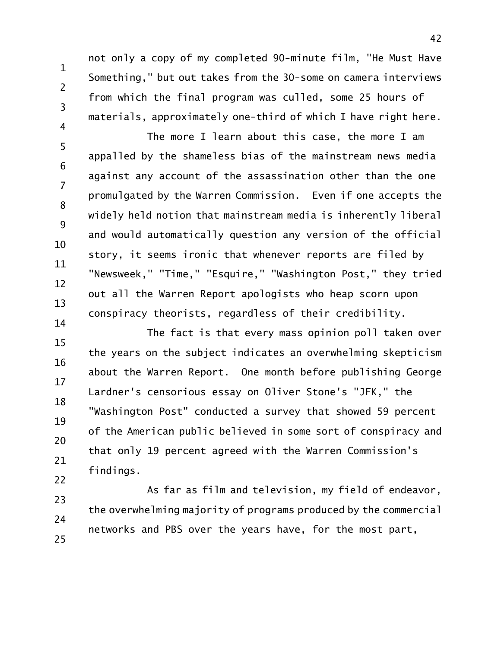not only a copy of my completed 90-minute film, "He Must Have Something," but out takes from the 30-some on camera interviews from which the final program was culled, some 25 hours of materials, approximately one-third of which I have right here.

1

2

3

4

5 6 7 8 9 10 11 12 13 14 The more I learn about this case, the more I am appalled by the shameless bias of the mainstream news media against any account of the assassination other than the one promulgated by the Warren Commission. Even if one accepts the widely held notion that mainstream media is inherently liberal and would automatically question any version of the official story, it seems ironic that whenever reports are filed by "Newsweek," "Time," "Esquire," "Washington Post," they tried out all the Warren Report apologists who heap scorn upon conspiracy theorists, regardless of their credibility.

15 16 17 18 19 20 21 22 The fact is that every mass opinion poll taken over the years on the subject indicates an overwhelming skepticism about the Warren Report. One month before publishing George Lardner's censorious essay on Oliver Stone's "JFK," the "Washington Post" conducted a survey that showed 59 percent of the American public believed in some sort of conspiracy and that only 19 percent agreed with the Warren Commission's findings.

23 24 25 As far as film and television, my field of endeavor, the overwhelming majority of programs produced by the commercial networks and PBS over the years have, for the most part,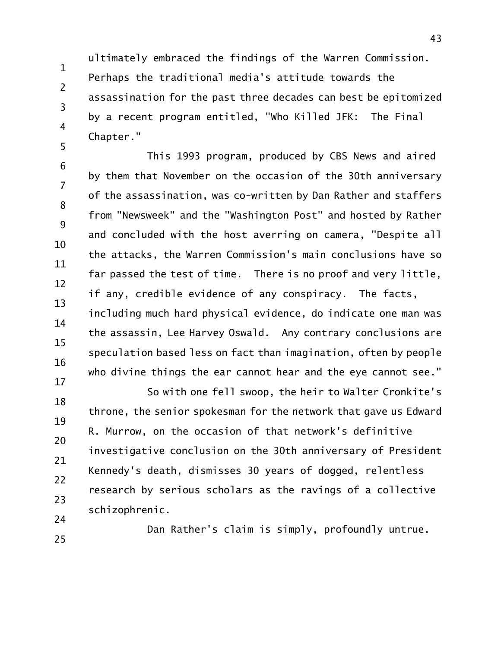1 2 3 4 5 ultimately embraced the findings of the Warren Commission. Perhaps the traditional media's attitude towards the assassination for the past three decades can best be epitomized by a recent program entitled, "Who Killed JFK: The Final Chapter."

6 7 8 9 10 11 12 13 14 15 16 This 1993 program, produced by CBS News and aired by them that November on the occasion of the 30th anniversary of the assassination, was co-written by Dan Rather and staffers from "Newsweek" and the "Washington Post" and hosted by Rather and concluded with the host averring on camera, "Despite all the attacks, the Warren Commission's main conclusions have so far passed the test of time. There is no proof and very little, if any, credible evidence of any conspiracy. The facts, including much hard physical evidence, do indicate one man was the assassin, Lee Harvey Oswald. Any contrary conclusions are speculation based less on fact than imagination, often by people who divine things the ear cannot hear and the eye cannot see."

17 18 19 20 21 22 23 24 So with one fell swoop, the heir to Walter Cronkite's throne, the senior spokesman for the network that gave us Edward R. Murrow, on the occasion of that network's definitive investigative conclusion on the 30th anniversary of President Kennedy's death, dismisses 30 years of dogged, relentless research by serious scholars as the ravings of a collective schizophrenic.

25

Dan Rather's claim is simply, profoundly untrue.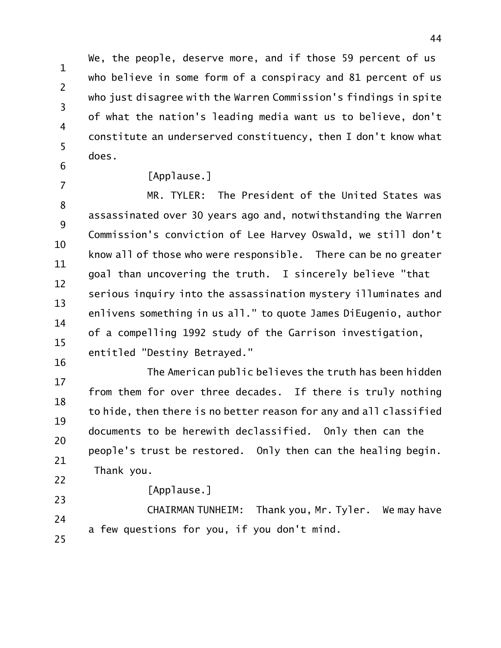1 2 3 4 5 We, the people, deserve more, and if those 59 percent of us who believe in some form of a conspiracy and 81 percent of us who just disagree with the Warren Commission's findings in spite of what the nation's leading media want us to believe, don't constitute an underserved constituency, then I don't know what does.

6 7

16

## [Applause.]

8 9 10 11 12 13 14 15 MR. TYLER: The President of the United States was assassinated over 30 years ago and, notwithstanding the Warren Commission's conviction of Lee Harvey Oswald, we still don't know all of those who were responsible. There can be no greater goal than uncovering the truth. I sincerely believe "that serious inquiry into the assassination mystery illuminates and enlivens something in us all." to quote James DiEugenio, author of a compelling 1992 study of the Garrison investigation, entitled "Destiny Betrayed."

17 18 19 20 21 22 The American public believes the truth has been hidden from them for over three decades. If there is truly nothing to hide, then there is no better reason for any and all classified documents to be herewith declassified. Only then can the people's trust be restored. Only then can the healing begin. Thank you.

[Applause.]

23 24 25 CHAIRMAN TUNHEIM: Thank you, Mr. Tyler. We may have a few questions for you, if you don't mind.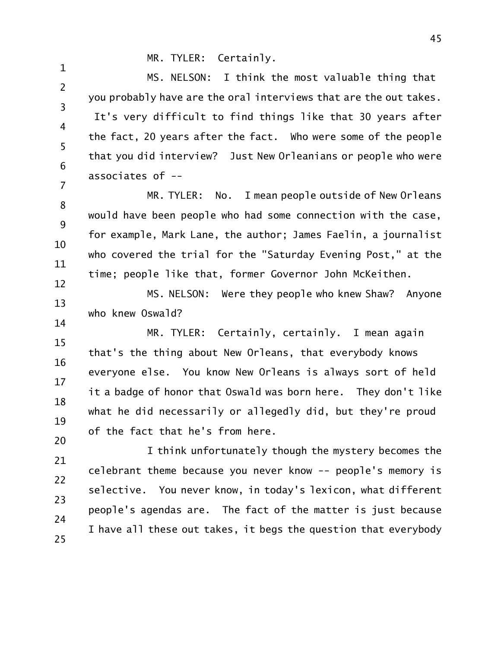## MR. TYLER: Certainly.

1

2 3 4 5 6 7 MS. NELSON: I think the most valuable thing that you probably have are the oral interviews that are the out takes. It's very difficult to find things like that 30 years after the fact, 20 years after the fact. Who were some of the people that you did interview? Just New Orleanians or people who were associates of --

8 9 10 11 12 MR. TYLER: No. I mean people outside of New Orleans would have been people who had some connection with the case, for example, Mark Lane, the author; James Faelin, a journalist who covered the trial for the "Saturday Evening Post," at the time; people like that, former Governor John McKeithen.

13 14 MS. NELSON: Were they people who knew Shaw? Anyone who knew Oswald?

15 16 17 18 19 20 MR. TYLER: Certainly, certainly. I mean again that's the thing about New Orleans, that everybody knows everyone else. You know New Orleans is always sort of held it a badge of honor that Oswald was born here. They don't like what he did necessarily or allegedly did, but they're proud of the fact that he's from here.

21 22 23 24 25 I think unfortunately though the mystery becomes the celebrant theme because you never know -- people's memory is selective. You never know, in today's lexicon, what different people's agendas are. The fact of the matter is just because I have all these out takes, it begs the question that everybody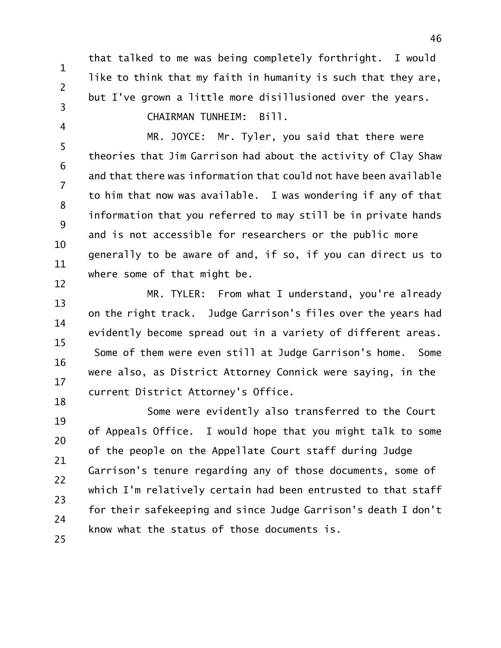that talked to me was being completely forthright. I would like to think that my faith in humanity is such that they are, but I've grown a little more disillusioned over the years. CHAIRMAN TUNHEIM: Bill.

4

1

2

3

5 6 7 8 9 10 11 12 MR. JOYCE: Mr. Tyler, you said that there were theories that Jim Garrison had about the activity of Clay Shaw and that there was information that could not have been available to him that now was available. I was wondering if any of that information that you referred to may still be in private hands and is not accessible for researchers or the public more generally to be aware of and, if so, if you can direct us to where some of that might be.

13 14 15 16 17 18 MR. TYLER: From what I understand, you're already on the right track. Judge Garrison's files over the years had evidently become spread out in a variety of different areas. Some of them were even still at Judge Garrison's home. Some were also, as District Attorney Connick were saying, in the current District Attorney's Office.

19 20 21 22 23 24 25 Some were evidently also transferred to the Court of Appeals Office. I would hope that you might talk to some of the people on the Appellate Court staff during Judge Garrison's tenure regarding any of those documents, some of which I'm relatively certain had been entrusted to that staff for their safekeeping and since Judge Garrison's death I don't know what the status of those documents is.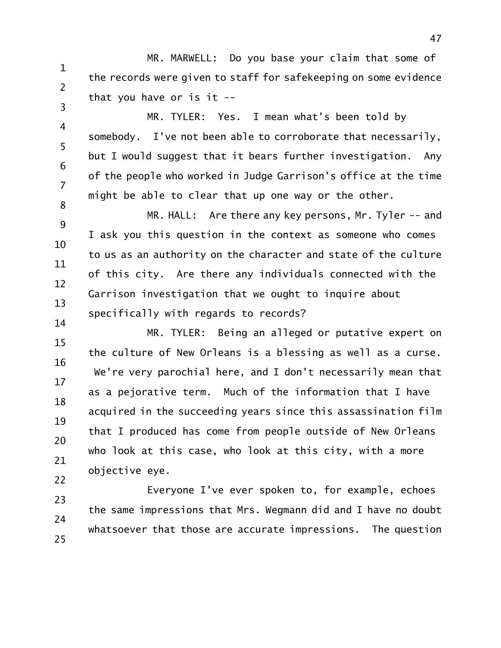1 2 3 MR. MARWELL: Do you base your claim that some of the records were given to staff for safekeeping on some evidence that you have or is it --

4 5 6 7 8 MR. TYLER: Yes. I mean what's been told by somebody. I've not been able to corroborate that necessarily, but I would suggest that it bears further investigation. Any of the people who worked in Judge Garrison's office at the time might be able to clear that up one way or the other.

9 10 11 12 13 14 MR. HALL: Are there any key persons, Mr. Tyler -- and I ask you this question in the context as someone who comes to us as an authority on the character and state of the culture of this city. Are there any individuals connected with the Garrison investigation that we ought to inquire about specifically with regards to records?

15 16 17 18 19 20 21 22 MR. TYLER: Being an alleged or putative expert on the culture of New Orleans is a blessing as well as a curse. We're very parochial here, and I don't necessarily mean that as a pejorative term. Much of the information that I have acquired in the succeeding years since this assassination film that I produced has come from people outside of New Orleans who look at this case, who look at this city, with a more objective eye.

23 24 25 Everyone I've ever spoken to, for example, echoes the same impressions that Mrs. Wegmann did and I have no doubt whatsoever that those are accurate impressions. The question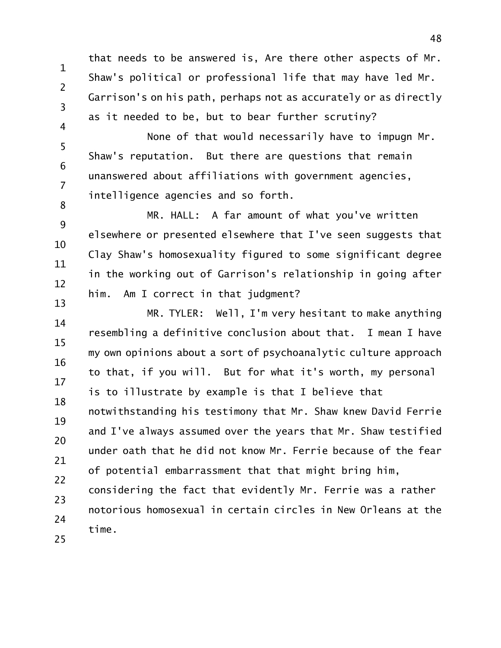1 2 3 4 that needs to be answered is, Are there other aspects of Mr. Shaw's political or professional life that may have led Mr. Garrison's on his path, perhaps not as accurately or as directly as it needed to be, but to bear further scrutiny?

5 6 7 8 None of that would necessarily have to impugn Mr. Shaw's reputation. But there are questions that remain unanswered about affiliations with government agencies, intelligence agencies and so forth.

9 10 11 12 13 MR. HALL: A far amount of what you've written elsewhere or presented elsewhere that I've seen suggests that Clay Shaw's homosexuality figured to some significant degree in the working out of Garrison's relationship in going after him. Am I correct in that judgment?

14 15 16 17 18 19 20 21 22 23 24 25 MR. TYLER: Well, I'm very hesitant to make anything resembling a definitive conclusion about that. I mean I have my own opinions about a sort of psychoanalytic culture approach to that, if you will. But for what it's worth, my personal is to illustrate by example is that I believe that notwithstanding his testimony that Mr. Shaw knew David Ferrie and I've always assumed over the years that Mr. Shaw testified under oath that he did not know Mr. Ferrie because of the fear of potential embarrassment that that might bring him, considering the fact that evidently Mr. Ferrie was a rather notorious homosexual in certain circles in New Orleans at the time.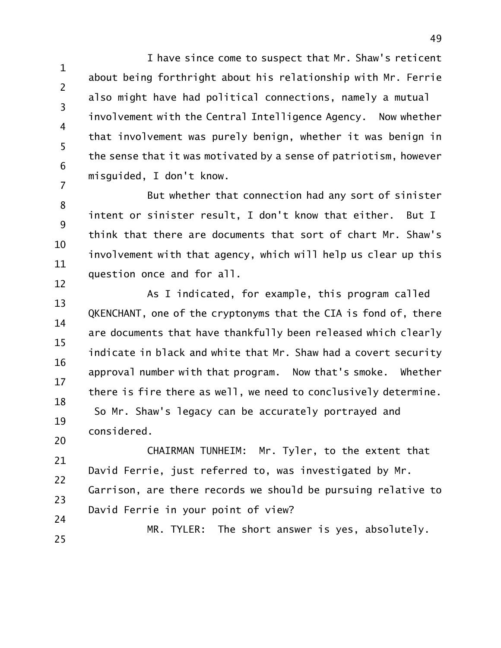1 2 3 4 5 6 7 I have since come to suspect that Mr. Shaw's reticent about being forthright about his relationship with Mr. Ferrie also might have had political connections, namely a mutual involvement with the Central Intelligence Agency. Now whether that involvement was purely benign, whether it was benign in the sense that it was motivated by a sense of patriotism, however misguided, I don't know.

8 9 10 11 12 But whether that connection had any sort of sinister intent or sinister result, I don't know that either. But I think that there are documents that sort of chart Mr. Shaw's involvement with that agency, which will help us clear up this question once and for all.

13 14 15 16 17 18 19 20 As I indicated, for example, this program called QKENCHANT, one of the cryptonyms that the CIA is fond of, there are documents that have thankfully been released which clearly indicate in black and white that Mr. Shaw had a covert security approval number with that program. Now that's smoke. Whether there is fire there as well, we need to conclusively determine. So Mr. Shaw's legacy can be accurately portrayed and considered.

21 22 23 24 CHAIRMAN TUNHEIM: Mr. Tyler, to the extent that David Ferrie, just referred to, was investigated by Mr. Garrison, are there records we should be pursuing relative to David Ferrie in your point of view?

25 MR. TYLER: The short answer is yes, absolutely.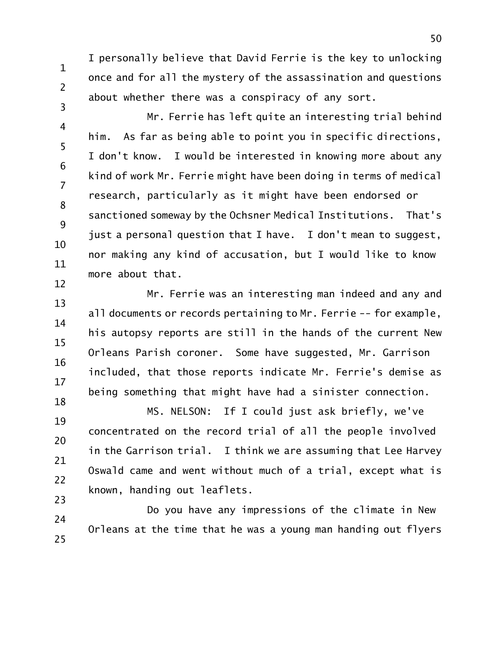I personally believe that David Ferrie is the key to unlocking once and for all the mystery of the assassination and questions about whether there was a conspiracy of any sort.

1

2

3

4 5 6 7 8 9 10 11 12 Mr. Ferrie has left quite an interesting trial behind him. As far as being able to point you in specific directions, I don't know. I would be interested in knowing more about any kind of work Mr. Ferrie might have been doing in terms of medical research, particularly as it might have been endorsed or sanctioned someway by the Ochsner Medical Institutions. That's just a personal question that I have. I don't mean to suggest, nor making any kind of accusation, but I would like to know more about that.

13 14 15 16 17 18 Mr. Ferrie was an interesting man indeed and any and all documents or records pertaining to Mr. Ferrie -- for example, his autopsy reports are still in the hands of the current New Orleans Parish coroner. Some have suggested, Mr. Garrison included, that those reports indicate Mr. Ferrie's demise as being something that might have had a sinister connection.

19 20 21 22 23 MS. NELSON: If I could just ask briefly, we've concentrated on the record trial of all the people involved in the Garrison trial. I think we are assuming that Lee Harvey Oswald came and went without much of a trial, except what is known, handing out leaflets.

24 25 Do you have any impressions of the climate in New Orleans at the time that he was a young man handing out flyers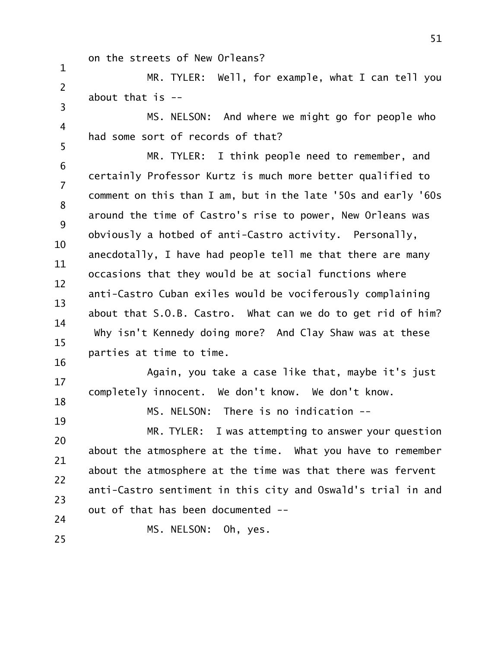on the streets of New Orleans?

1

19

25

2 3 MR. TYLER: Well, for example, what I can tell you about that  $is -$ 

4 5 MS. NELSON: And where we might go for people who had some sort of records of that?

6 7 8 9 10 11 12 13 14 15 16 MR. TYLER: I think people need to remember, and certainly Professor Kurtz is much more better qualified to comment on this than I am, but in the late '50s and early '60s around the time of Castro's rise to power, New Orleans was obviously a hotbed of anti-Castro activity. Personally, anecdotally, I have had people tell me that there are many occasions that they would be at social functions where anti-Castro Cuban exiles would be vociferously complaining about that S.O.B. Castro. What can we do to get rid of him? Why isn't Kennedy doing more? And Clay Shaw was at these parties at time to time.

17 18 Again, you take a case like that, maybe it's just completely innocent. We don't know. We don't know.

MS. NELSON: There is no indication --

20 21 22 23 24 MR. TYLER: I was attempting to answer your question about the atmosphere at the time. What you have to remember about the atmosphere at the time was that there was fervent anti-Castro sentiment in this city and Oswald's trial in and out of that has been documented --

MS. NELSON: Oh, yes.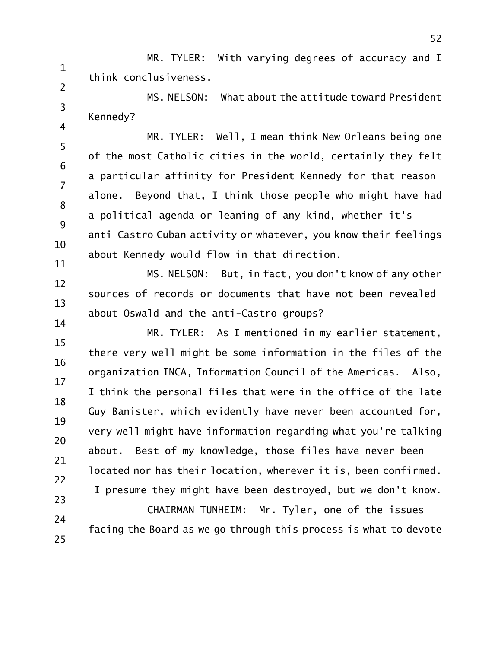1 2 MR. TYLER: With varying degrees of accuracy and I think conclusiveness.

3 4 MS. NELSON: What about the attitude toward President Kennedy?

5 6 7 8 9 10 11 MR. TYLER: Well, I mean think New Orleans being one of the most Catholic cities in the world, certainly they felt a particular affinity for President Kennedy for that reason alone. Beyond that, I think those people who might have had a political agenda or leaning of any kind, whether it's anti-Castro Cuban activity or whatever, you know their feelings about Kennedy would flow in that direction.

12 13 14 MS. NELSON: But, in fact, you don't know of any other sources of records or documents that have not been revealed about Oswald and the anti-Castro groups?

15 16 17 18 19 20 21 22 23 MR. TYLER: As I mentioned in my earlier statement, there very well might be some information in the files of the organization INCA, Information Council of the Americas. Also, I think the personal files that were in the office of the late Guy Banister, which evidently have never been accounted for, very well might have information regarding what you're talking about. Best of my knowledge, those files have never been located nor has their location, wherever it is, been confirmed. I presume they might have been destroyed, but we don't know.

24 25 CHAIRMAN TUNHEIM: Mr. Tyler, one of the issues facing the Board as we go through this process is what to devote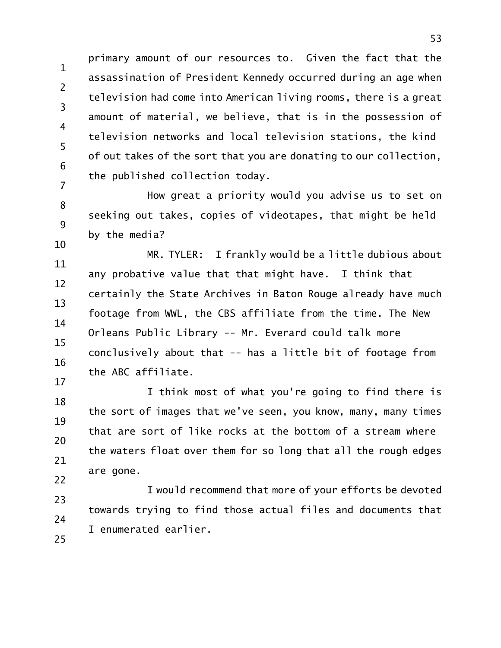1 2 3 4 5 6 7 primary amount of our resources to. Given the fact that the assassination of President Kennedy occurred during an age when television had come into American living rooms, there is a great amount of material, we believe, that is in the possession of television networks and local television stations, the kind of out takes of the sort that you are donating to our collection, the published collection today.

8 9 10 How great a priority would you advise us to set on seeking out takes, copies of videotapes, that might be held by the media?

11 12 13 14 15 16 17 MR. TYLER: I frankly would be a little dubious about any probative value that that might have. I think that certainly the State Archives in Baton Rouge already have much footage from WWL, the CBS affiliate from the time. The New Orleans Public Library -- Mr. Everard could talk more conclusively about that -- has a little bit of footage from the ABC affiliate.

18 19 20 21 22 I think most of what you're going to find there is the sort of images that we've seen, you know, many, many times that are sort of like rocks at the bottom of a stream where the waters float over them for so long that all the rough edges are gone.

23 24 25 I would recommend that more of your efforts be devoted towards trying to find those actual files and documents that I enumerated earlier.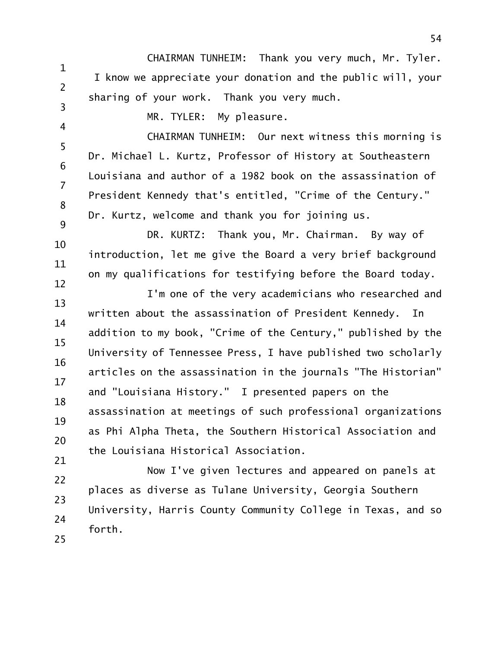1 2 3 CHAIRMAN TUNHEIM: Thank you very much, Mr. Tyler. I know we appreciate your donation and the public will, your sharing of your work. Thank you very much.

4

MR. TYLER: My pleasure.

5 6 7 8 9 CHAIRMAN TUNHEIM: Our next witness this morning is Dr. Michael L. Kurtz, Professor of History at Southeastern Louisiana and author of a 1982 book on the assassination of President Kennedy that's entitled, "Crime of the Century." Dr. Kurtz, welcome and thank you for joining us.

10 11 12 DR. KURTZ: Thank you, Mr. Chairman. By way of introduction, let me give the Board a very brief background on my qualifications for testifying before the Board today.

13 14 15 16 17 18 19 20 21 I'm one of the very academicians who researched and written about the assassination of President Kennedy. In addition to my book, "Crime of the Century," published by the University of Tennessee Press, I have published two scholarly articles on the assassination in the journals "The Historian" and "Louisiana History." I presented papers on the assassination at meetings of such professional organizations as Phi Alpha Theta, the Southern Historical Association and the Louisiana Historical Association.

22 23 24 25 Now I've given lectures and appeared on panels at places as diverse as Tulane University, Georgia Southern University, Harris County Community College in Texas, and so forth.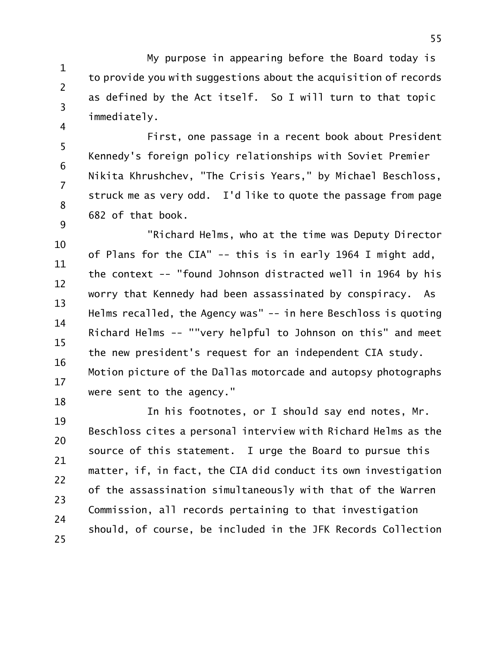1 2 3 4 My purpose in appearing before the Board today is to provide you with suggestions about the acquisition of records as defined by the Act itself. So I will turn to that topic immediately.

5 6 7 8 9 First, one passage in a recent book about President Kennedy's foreign policy relationships with Soviet Premier Nikita Khrushchev, "The Crisis Years," by Michael Beschloss, struck me as very odd. I'd like to quote the passage from page 682 of that book.

10 11 12 13 14 15 16 17 18 "Richard Helms, who at the time was Deputy Director of Plans for the CIA" -- this is in early 1964 I might add, the context -- "found Johnson distracted well in 1964 by his worry that Kennedy had been assassinated by conspiracy. As Helms recalled, the Agency was" -- in here Beschloss is quoting Richard Helms -- ""very helpful to Johnson on this" and meet the new president's request for an independent CIA study. Motion picture of the Dallas motorcade and autopsy photographs were sent to the agency."

19 20 21 22 23 24 25 In his footnotes, or I should say end notes, Mr. Beschloss cites a personal interview with Richard Helms as the source of this statement. I urge the Board to pursue this matter, if, in fact, the CIA did conduct its own investigation of the assassination simultaneously with that of the Warren Commission, all records pertaining to that investigation should, of course, be included in the JFK Records Collection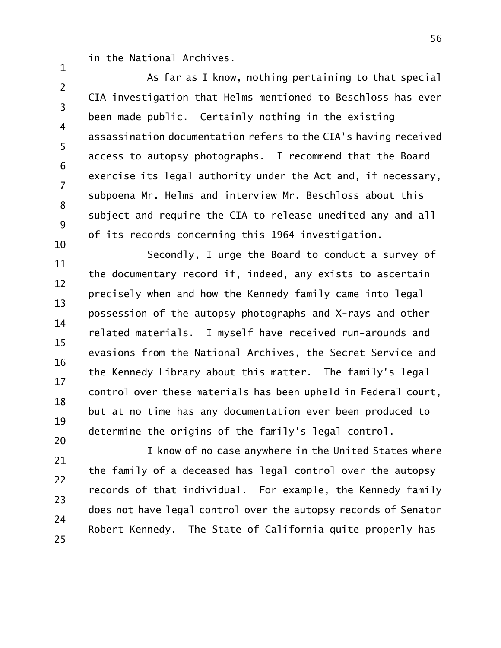in the National Archives.

1

2 3 4 5 6 7 8 9 10 As far as I know, nothing pertaining to that special CIA investigation that Helms mentioned to Beschloss has ever been made public. Certainly nothing in the existing assassination documentation refers to the CIA's having received access to autopsy photographs. I recommend that the Board exercise its legal authority under the Act and, if necessary, subpoena Mr. Helms and interview Mr. Beschloss about this subject and require the CIA to release unedited any and all of its records concerning this 1964 investigation.

11 12 13 14 15 16 17 18 19 20 Secondly, I urge the Board to conduct a survey of the documentary record if, indeed, any exists to ascertain precisely when and how the Kennedy family came into legal possession of the autopsy photographs and X-rays and other related materials. I myself have received run-arounds and evasions from the National Archives, the Secret Service and the Kennedy Library about this matter. The family's legal control over these materials has been upheld in Federal court, but at no time has any documentation ever been produced to determine the origins of the family's legal control.

21 22 23 24 25 I know of no case anywhere in the United States where the family of a deceased has legal control over the autopsy records of that individual. For example, the Kennedy family does not have legal control over the autopsy records of Senator Robert Kennedy. The State of California quite properly has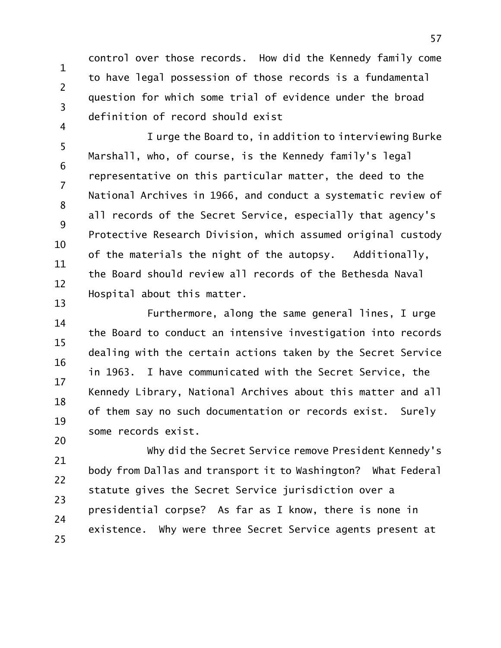1 2 3 4 control over those records. How did the Kennedy family come to have legal possession of those records is a fundamental question for which some trial of evidence under the broad definition of record should exist

5 6 7 8 9 10 11 12 13 I urge the Board to, in addition to interviewing Burke Marshall, who, of course, is the Kennedy family's legal representative on this particular matter, the deed to the National Archives in 1966, and conduct a systematic review of all records of the Secret Service, especially that agency's Protective Research Division, which assumed original custody of the materials the night of the autopsy. Additionally, the Board should review all records of the Bethesda Naval Hospital about this matter.

14 15 16 17 18 19 20 Furthermore, along the same general lines, I urge the Board to conduct an intensive investigation into records dealing with the certain actions taken by the Secret Service in 1963. I have communicated with the Secret Service, the Kennedy Library, National Archives about this matter and all of them say no such documentation or records exist. Surely some records exist.

21 22 23 24 25 Why did the Secret Service remove President Kennedy's body from Dallas and transport it to Washington? What Federal statute gives the Secret Service jurisdiction over a presidential corpse? As far as I know, there is none in existence. Why were three Secret Service agents present at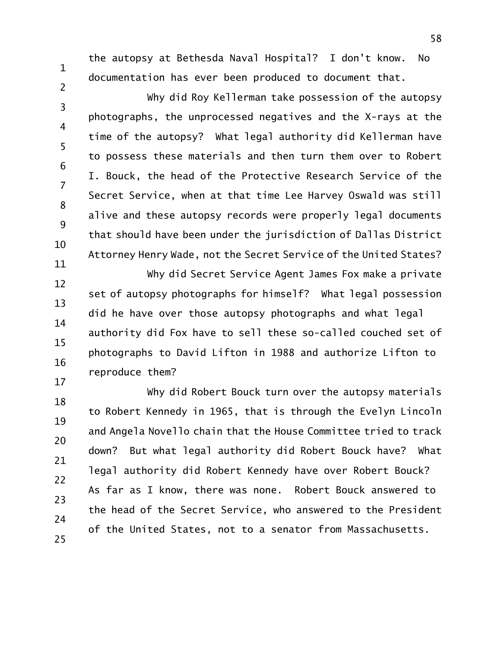1

2

the autopsy at Bethesda Naval Hospital? I don't know. No documentation has ever been produced to document that.

3 4 5 6 7 8 9 10 Why did Roy Kellerman take possession of the autopsy photographs, the unprocessed negatives and the X-rays at the time of the autopsy? What legal authority did Kellerman have to possess these materials and then turn them over to Robert I. Bouck, the head of the Protective Research Service of the Secret Service, when at that time Lee Harvey Oswald was still alive and these autopsy records were properly legal documents that should have been under the jurisdiction of Dallas District Attorney Henry Wade, not the Secret Service of the United States?

11 12 13 14 15 16 17 Why did Secret Service Agent James Fox make a private set of autopsy photographs for himself? What legal possession did he have over those autopsy photographs and what legal authority did Fox have to sell these so-called couched set of photographs to David Lifton in 1988 and authorize Lifton to reproduce them?

18 19 20 21 22 23 24 25 Why did Robert Bouck turn over the autopsy materials to Robert Kennedy in 1965, that is through the Evelyn Lincoln and Angela Novello chain that the House Committee tried to track down? But what legal authority did Robert Bouck have? What legal authority did Robert Kennedy have over Robert Bouck? As far as I know, there was none. Robert Bouck answered to the head of the Secret Service, who answered to the President of the United States, not to a senator from Massachusetts.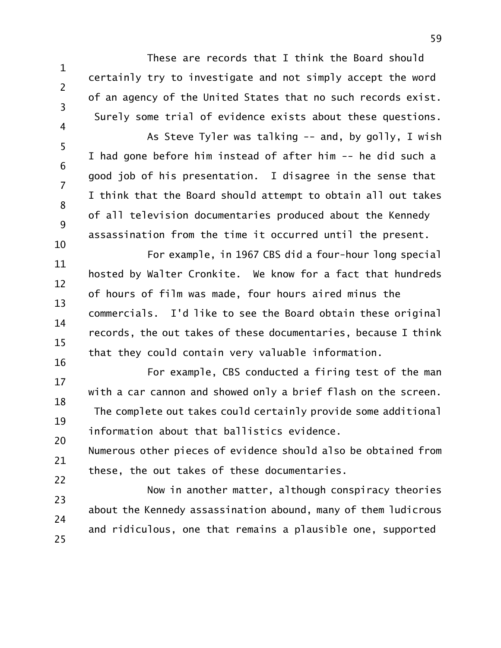These are records that I think the Board should certainly try to investigate and not simply accept the word of an agency of the United States that no such records exist. Surely some trial of evidence exists about these questions. As Steve Tyler was talking -- and, by golly, I wish

1

2

3

4

5 6 7 8 9 10 I had gone before him instead of after him -- he did such a good job of his presentation. I disagree in the sense that I think that the Board should attempt to obtain all out takes of all television documentaries produced about the Kennedy assassination from the time it occurred until the present.

11 12 13 14 15 16 For example, in 1967 CBS did a four-hour long special hosted by Walter Cronkite. We know for a fact that hundreds of hours of film was made, four hours aired minus the commercials. I'd like to see the Board obtain these original records, the out takes of these documentaries, because I think that they could contain very valuable information.

17 18 19 20 For example, CBS conducted a firing test of the man with a car cannon and showed only a brief flash on the screen. The complete out takes could certainly provide some additional information about that ballistics evidence.

21 22 Numerous other pieces of evidence should also be obtained from these, the out takes of these documentaries.

23 24 25 Now in another matter, although conspiracy theories about the Kennedy assassination abound, many of them ludicrous and ridiculous, one that remains a plausible one, supported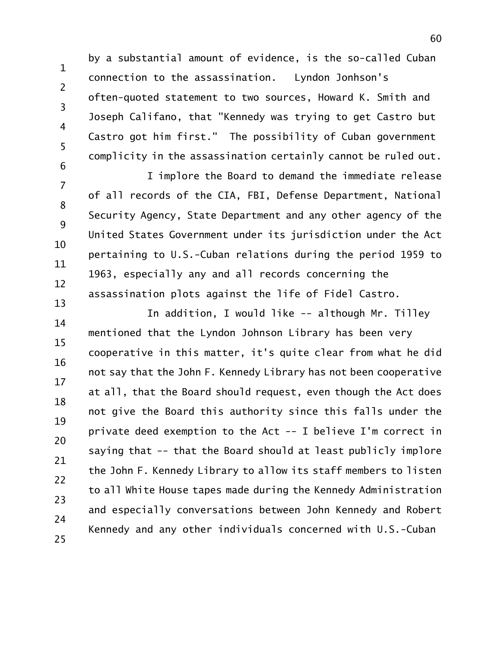1 2 3 4 5 6 by a substantial amount of evidence, is the so-called Cuban connection to the assassination. Lyndon Jonhson's often-quoted statement to two sources, Howard K. Smith and Joseph Califano, that "Kennedy was trying to get Castro but Castro got him first." The possibility of Cuban government complicity in the assassination certainly cannot be ruled out.

7 8 9 10 11 12 13 I implore the Board to demand the immediate release of all records of the CIA, FBI, Defense Department, National Security Agency, State Department and any other agency of the United States Government under its jurisdiction under the Act pertaining to U.S.-Cuban relations during the period 1959 to 1963, especially any and all records concerning the assassination plots against the life of Fidel Castro.

14 15 16 17 18 19 20 21 22 23 24 25 In addition, I would like -- although Mr. Tilley mentioned that the Lyndon Johnson Library has been very cooperative in this matter, it's quite clear from what he did not say that the John F. Kennedy Library has not been cooperative at all, that the Board should request, even though the Act does not give the Board this authority since this falls under the private deed exemption to the Act -- I believe I'm correct in saying that -- that the Board should at least publicly implore the John F. Kennedy Library to allow its staff members to listen to all White House tapes made during the Kennedy Administration and especially conversations between John Kennedy and Robert Kennedy and any other individuals concerned with U.S.-Cuban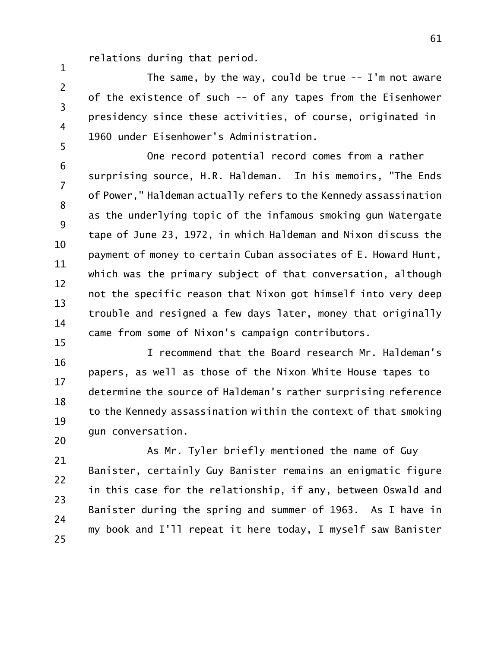relations during that period.

1 2 3 4 5 The same, by the way, could be true  $-$ - I'm not aware of the existence of such -- of any tapes from the Eisenhower presidency since these activities, of course, originated in 1960 under Eisenhower's Administration.

6 7 8 9 10 11 12 13 14 15 One record potential record comes from a rather surprising source, H.R. Haldeman. In his memoirs, "The Ends of Power," Haldeman actually refers to the Kennedy assassination as the underlying topic of the infamous smoking gun Watergate tape of June 23, 1972, in which Haldeman and Nixon discuss the payment of money to certain Cuban associates of E. Howard Hunt, which was the primary subject of that conversation, although not the specific reason that Nixon got himself into very deep trouble and resigned a few days later, money that originally came from some of Nixon's campaign contributors.

16 17 18 19 20 I recommend that the Board research Mr. Haldeman's papers, as well as those of the Nixon White House tapes to determine the source of Haldeman's rather surprising reference to the Kennedy assassination within the context of that smoking gun conversation.

21 22 23 24 25 As Mr. Tyler briefly mentioned the name of Guy Banister, certainly Guy Banister remains an enigmatic figure in this case for the relationship, if any, between Oswald and Banister during the spring and summer of 1963. As I have in my book and I'll repeat it here today, I myself saw Banister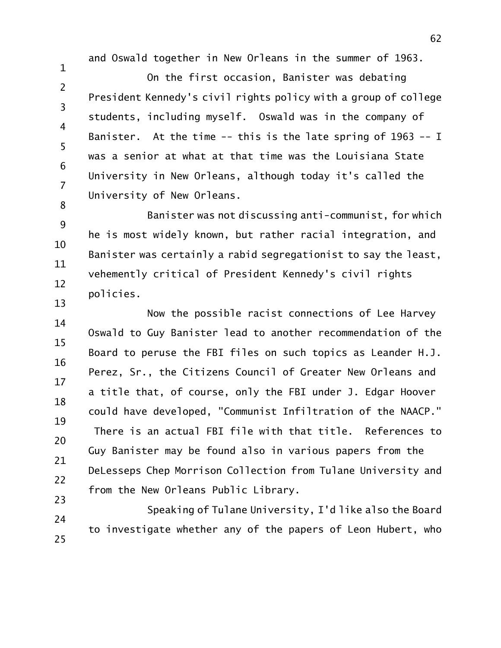and Oswald together in New Orleans in the summer of 1963.

1

2 3 4 5 6 7 8 On the first occasion, Banister was debating President Kennedy's civil rights policy with a group of college students, including myself. Oswald was in the company of Banister. At the time -- this is the late spring of 1963 -- I was a senior at what at that time was the Louisiana State University in New Orleans, although today it's called the University of New Orleans.

9 10 11 12 13 Banister was not discussing anti-communist, for which he is most widely known, but rather racial integration, and Banister was certainly a rabid segregationist to say the least, vehemently critical of President Kennedy's civil rights policies.

14 15 16 17 18 19 20 21 22 23 Now the possible racist connections of Lee Harvey Oswald to Guy Banister lead to another recommendation of the Board to peruse the FBI files on such topics as Leander H.J. Perez, Sr., the Citizens Council of Greater New Orleans and a title that, of course, only the FBI under J. Edgar Hoover could have developed, "Communist Infiltration of the NAACP." There is an actual FBI file with that title. References to Guy Banister may be found also in various papers from the DeLesseps Chep Morrison Collection from Tulane University and from the New Orleans Public Library.

24 25 Speaking of Tulane University, I'd like also the Board to investigate whether any of the papers of Leon Hubert, who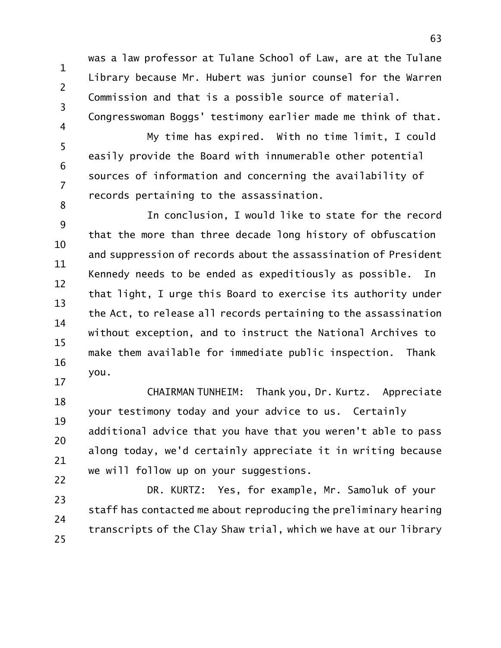1 was a law professor at Tulane School of Law, are at the Tulane Library because Mr. Hubert was junior counsel for the Warren Commission and that is a possible source of material. Congresswoman Boggs' testimony earlier made me think of that.

2

3

4 5 6 7 8 My time has expired. With no time limit, I could easily provide the Board with innumerable other potential sources of information and concerning the availability of records pertaining to the assassination.

9 10 11 12 13 14 15 16 17 In conclusion, I would like to state for the record that the more than three decade long history of obfuscation and suppression of records about the assassination of President Kennedy needs to be ended as expeditiously as possible. In that light, I urge this Board to exercise its authority under the Act, to release all records pertaining to the assassination without exception, and to instruct the National Archives to make them available for immediate public inspection. Thank you.

18 19 20 21 22 CHAIRMAN TUNHEIM: Thank you, Dr. Kurtz. Appreciate your testimony today and your advice to us. Certainly additional advice that you have that you weren't able to pass along today, we'd certainly appreciate it in writing because we will follow up on your suggestions.

23 24 25 DR. KURTZ: Yes, for example, Mr. Samoluk of your staff has contacted me about reproducing the preliminary hearing transcripts of the Clay Shaw trial, which we have at our library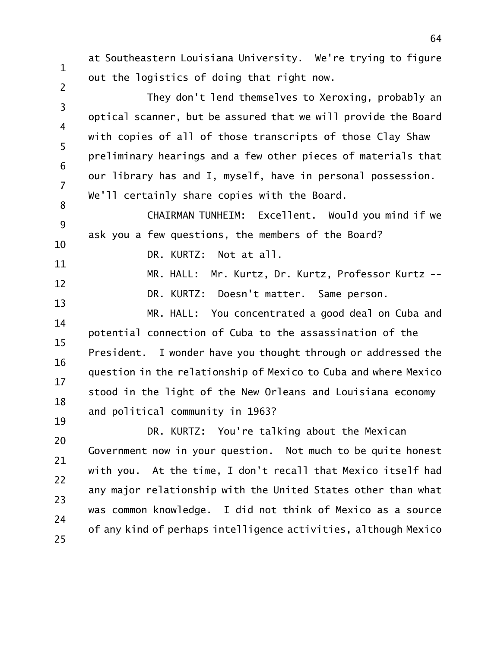at Southeastern Louisiana University. We're trying to figure out the logistics of doing that right now.

3 4 5 6 7 They don't lend themselves to Xeroxing, probably an optical scanner, but be assured that we will provide the Board with copies of all of those transcripts of those Clay Shaw preliminary hearings and a few other pieces of materials that our library has and I, myself, have in personal possession. We'll certainly share copies with the Board.

8 9 10 CHAIRMAN TUNHEIM: Excellent. Would you mind if we ask you a few questions, the members of the Board?

11 DR. KURTZ: Not at all.

1

2

12 13 MR. HALL: Mr. Kurtz, Dr. Kurtz, Professor Kurtz -- DR. KURTZ: Doesn't matter. Same person.

14 15 16 17 18 19 MR. HALL: You concentrated a good deal on Cuba and potential connection of Cuba to the assassination of the President. I wonder have you thought through or addressed the question in the relationship of Mexico to Cuba and where Mexico stood in the light of the New Orleans and Louisiana economy and political community in 1963?

20 21 22 23 24 25 DR. KURTZ: You're talking about the Mexican Government now in your question. Not much to be quite honest with you. At the time, I don't recall that Mexico itself had any major relationship with the United States other than what was common knowledge. I did not think of Mexico as a source of any kind of perhaps intelligence activities, although Mexico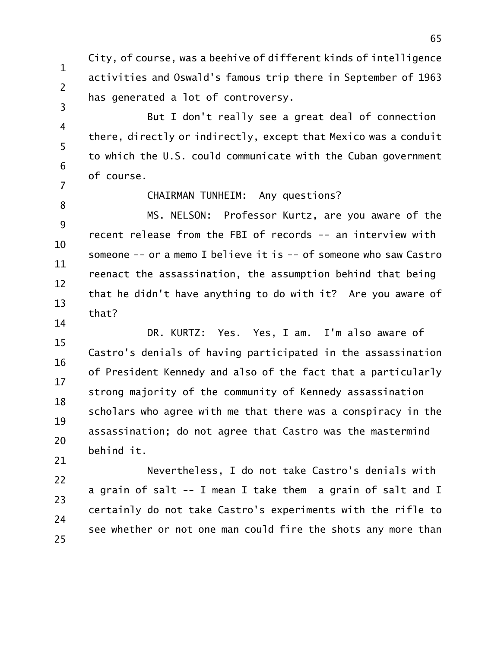1 2 3 City, of course, was a beehive of different kinds of intelligence activities and Oswald's famous trip there in September of 1963 has generated a lot of controversy.

4 5 6 7 But I don't really see a great deal of connection there, directly or indirectly, except that Mexico was a conduit to which the U.S. could communicate with the Cuban government of course.

8

## CHAIRMAN TUNHEIM: Any questions?

9 10 11 12 13 14 MS. NELSON: Professor Kurtz, are you aware of the recent release from the FBI of records -- an interview with someone -- or a memo I believe it is -- of someone who saw Castro reenact the assassination, the assumption behind that being that he didn't have anything to do with it? Are you aware of that?

15 16 17 18 19 20 21 DR. KURTZ: Yes. Yes, I am. I'm also aware of Castro's denials of having participated in the assassination of President Kennedy and also of the fact that a particularly strong majority of the community of Kennedy assassination scholars who agree with me that there was a conspiracy in the assassination; do not agree that Castro was the mastermind behind it.

22 23 24 25 Nevertheless, I do not take Castro's denials with a grain of salt -- I mean I take them a grain of salt and I certainly do not take Castro's experiments with the rifle to see whether or not one man could fire the shots any more than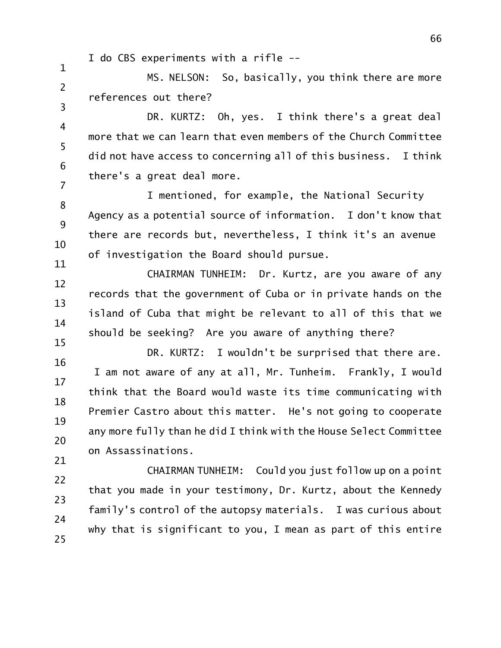I do CBS experiments with a rifle --

1

2 3 MS. NELSON: So, basically, you think there are more references out there?

4 5 6 7 DR. KURTZ: Oh, yes. I think there's a great deal more that we can learn that even members of the Church Committee did not have access to concerning all of this business. I think there's a great deal more.

8 9 10 11 I mentioned, for example, the National Security Agency as a potential source of information. I don't know that there are records but, nevertheless, I think it's an avenue of investigation the Board should pursue.

12 13 14 15 CHAIRMAN TUNHEIM: Dr. Kurtz, are you aware of any records that the government of Cuba or in private hands on the island of Cuba that might be relevant to all of this that we should be seeking? Are you aware of anything there?

16 17 18 19 20 21 DR. KURTZ: I wouldn't be surprised that there are. I am not aware of any at all, Mr. Tunheim. Frankly, I would think that the Board would waste its time communicating with Premier Castro about this matter. He's not going to cooperate any more fully than he did I think with the House Select Committee on Assassinations.

22 23 24 25 CHAIRMAN TUNHEIM: Could you just follow up on a point that you made in your testimony, Dr. Kurtz, about the Kennedy family's control of the autopsy materials. I was curious about why that is significant to you, I mean as part of this entire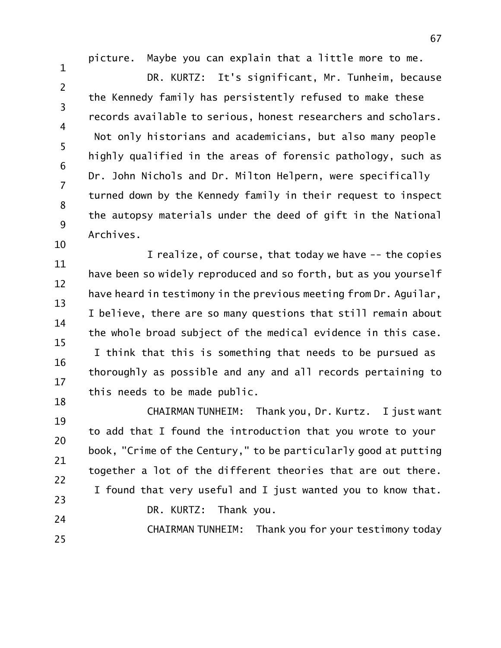picture. Maybe you can explain that a little more to me.

1 2 3 4 5 6 7 8 9 DR. KURTZ: It's significant, Mr. Tunheim, because the Kennedy family has persistently refused to make these records available to serious, honest researchers and scholars. Not only historians and academicians, but also many people highly qualified in the areas of forensic pathology, such as Dr. John Nichols and Dr. Milton Helpern, were specifically turned down by the Kennedy family in their request to inspect the autopsy materials under the deed of gift in the National Archives.

11 12 13 14 15 16 17 18 I realize, of course, that today we have -- the copies have been so widely reproduced and so forth, but as you yourself have heard in testimony in the previous meeting from Dr. Aguilar, I believe, there are so many questions that still remain about the whole broad subject of the medical evidence in this case. I think that this is something that needs to be pursued as thoroughly as possible and any and all records pertaining to this needs to be made public.

19 20 21 22 23 24 CHAIRMAN TUNHEIM: Thank you, Dr. Kurtz. I just want to add that I found the introduction that you wrote to your book, "Crime of the Century," to be particularly good at putting together a lot of the different theories that are out there. I found that very useful and I just wanted you to know that. DR. KURTZ: Thank you.

CHAIRMAN TUNHEIM: Thank you for your testimony today

10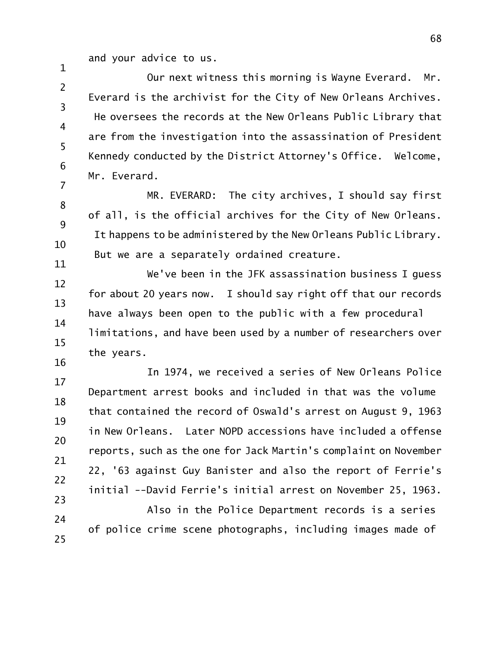and your advice to us.

1

2 3 4 5 6 7 Our next witness this morning is Wayne Everard. Mr. Everard is the archivist for the City of New Orleans Archives. He oversees the records at the New Orleans Public Library that are from the investigation into the assassination of President Kennedy conducted by the District Attorney's Office. Welcome, Mr. Everard.

8 9 10 11 MR. EVERARD: The city archives, I should say first of all, is the official archives for the City of New Orleans. It happens to be administered by the New Orleans Public Library. But we are a separately ordained creature.

12 13 14 15 16 We've been in the JFK assassination business I guess for about 20 years now. I should say right off that our records have always been open to the public with a few procedural limitations, and have been used by a number of researchers over the years.

17 18 19 20 21 22 23 In 1974, we received a series of New Orleans Police Department arrest books and included in that was the volume that contained the record of Oswald's arrest on August 9, 1963 in New Orleans. Later NOPD accessions have included a offense reports, such as the one for Jack Martin's complaint on November 22, '63 against Guy Banister and also the report of Ferrie's initial --David Ferrie's initial arrest on November 25, 1963.

24 25 Also in the Police Department records is a series of police crime scene photographs, including images made of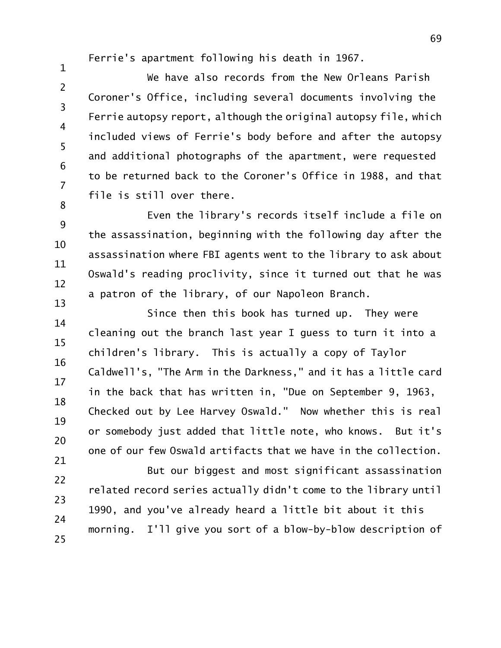Ferrie's apartment following his death in 1967.

1

8

2 3 4 5 6 7 We have also records from the New Orleans Parish Coroner's Office, including several documents involving the Ferrie autopsy report, although the original autopsy file, which included views of Ferrie's body before and after the autopsy and additional photographs of the apartment, were requested to be returned back to the Coroner's Office in 1988, and that file is still over there.

9 10 11 12 13 Even the library's records itself include a file on the assassination, beginning with the following day after the assassination where FBI agents went to the library to ask about Oswald's reading proclivity, since it turned out that he was a patron of the library, of our Napoleon Branch.

14 15 16 17 18 19 20 21 Since then this book has turned up. They were cleaning out the branch last year I guess to turn it into a children's library. This is actually a copy of Taylor Caldwell's, "The Arm in the Darkness," and it has a little card in the back that has written in, "Due on September 9, 1963, Checked out by Lee Harvey Oswald." Now whether this is real or somebody just added that little note, who knows. But it's one of our few Oswald artifacts that we have in the collection.

22 23 24 25 But our biggest and most significant assassination related record series actually didn't come to the library until 1990, and you've already heard a little bit about it this morning. I'll give you sort of a blow-by-blow description of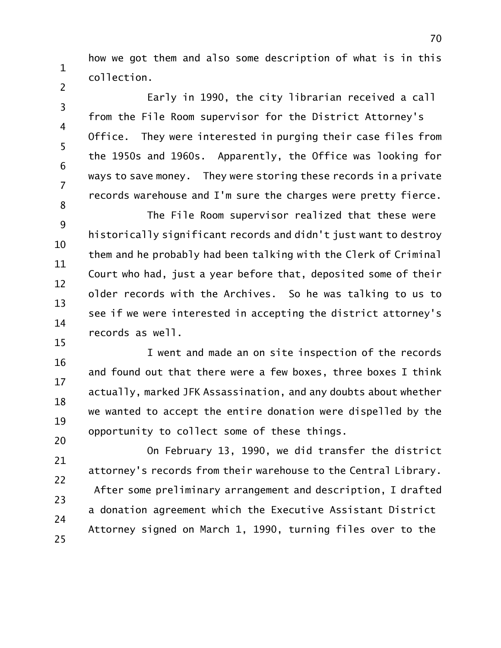how we got them and also some description of what is in this collection.

1

2

3 4 5 6 7 8 Early in 1990, the city librarian received a call from the File Room supervisor for the District Attorney's Office. They were interested in purging their case files from the 1950s and 1960s. Apparently, the Office was looking for ways to save money. They were storing these records in a private records warehouse and I'm sure the charges were pretty fierce.

9 10 11 12 13 14 15 The File Room supervisor realized that these were historically significant records and didn't just want to destroy them and he probably had been talking with the Clerk of Criminal Court who had, just a year before that, deposited some of their older records with the Archives. So he was talking to us to see if we were interested in accepting the district attorney's records as well.

16 17 18 19 20 I went and made an on site inspection of the records and found out that there were a few boxes, three boxes I think actually, marked JFK Assassination, and any doubts about whether we wanted to accept the entire donation were dispelled by the opportunity to collect some of these things.

21 22 23 24 25 On February 13, 1990, we did transfer the district attorney's records from their warehouse to the Central Library. After some preliminary arrangement and description, I drafted a donation agreement which the Executive Assistant District Attorney signed on March 1, 1990, turning files over to the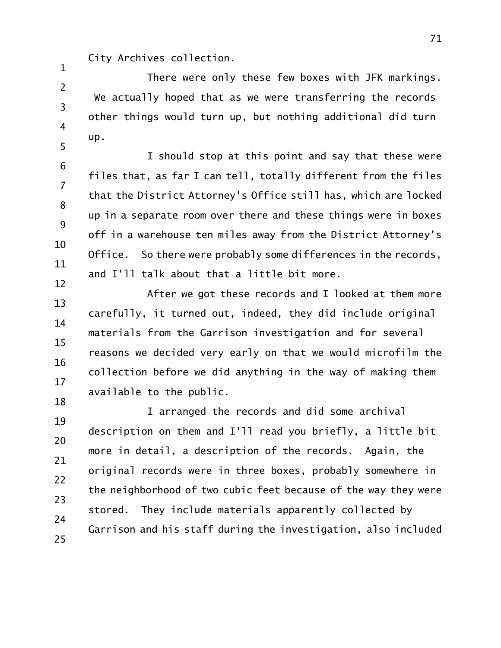City Archives collection.

1

2 3 4 5 There were only these few boxes with JFK markings. We actually hoped that as we were transferring the records other things would turn up, but nothing additional did turn up.

6 7 8 9 10 11 12 I should stop at this point and say that these were files that, as far I can tell, totally different from the files that the District Attorney's Office still has, which are locked up in a separate room over there and these things were in boxes off in a warehouse ten miles away from the District Attorney's Office. So there were probably some differences in the records, and I'll talk about that a little bit more.

13 14 15 16 17 18 After we got these records and I looked at them more carefully, it turned out, indeed, they did include original materials from the Garrison investigation and for several reasons we decided very early on that we would microfilm the collection before we did anything in the way of making them available to the public.

19 20 21 22 23 24 25 I arranged the records and did some archival description on them and I'll read you briefly, a little bit more in detail, a description of the records. Again, the original records were in three boxes, probably somewhere in the neighborhood of two cubic feet because of the way they were stored. They include materials apparently collected by Garrison and his staff during the investigation, also included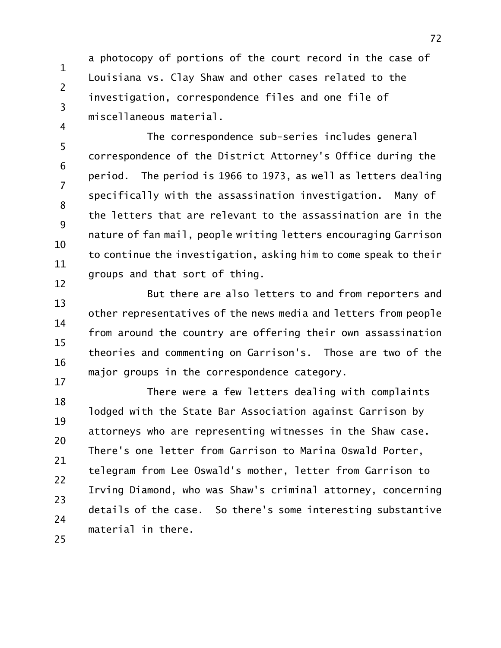a photocopy of portions of the court record in the case of Louisiana vs. Clay Shaw and other cases related to the investigation, correspondence files and one file of miscellaneous material.

1

2

3

4

5 6 7 8 9 10 11 12 The correspondence sub-series includes general correspondence of the District Attorney's Office during the period. The period is 1966 to 1973, as well as letters dealing specifically with the assassination investigation. Many of the letters that are relevant to the assassination are in the nature of fan mail, people writing letters encouraging Garrison to continue the investigation, asking him to come speak to their groups and that sort of thing.

13 14 15 16 17 But there are also letters to and from reporters and other representatives of the news media and letters from people from around the country are offering their own assassination theories and commenting on Garrison's. Those are two of the major groups in the correspondence category.

18 19 20 21 22 23 24 25 There were a few letters dealing with complaints lodged with the State Bar Association against Garrison by attorneys who are representing witnesses in the Shaw case. There's one letter from Garrison to Marina Oswald Porter, telegram from Lee Oswald's mother, letter from Garrison to Irving Diamond, who was Shaw's criminal attorney, concerning details of the case. So there's some interesting substantive material in there.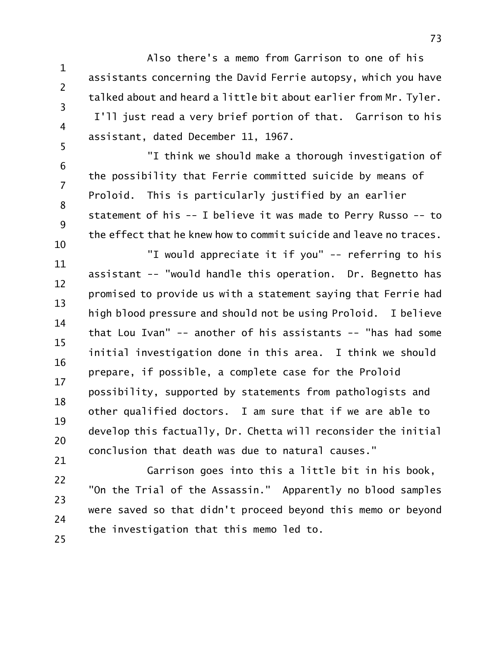1 2 3 Also there's a memo from Garrison to one of his assistants concerning the David Ferrie autopsy, which you have talked about and heard a little bit about earlier from Mr. Tyler. I'll just read a very brief portion of that. Garrison to his assistant, dated December 11, 1967.

4

5

21

6 7 8 9 "I think we should make a thorough investigation of the possibility that Ferrie committed suicide by means of Proloid. This is particularly justified by an earlier statement of his -- I believe it was made to Perry Russo -- to the effect that he knew how to commit suicide and leave no traces.

10 11 12 13 14 15 16 17 18 19 20 "I would appreciate it if you" -- referring to his assistant -- "would handle this operation. Dr. Begnetto has promised to provide us with a statement saying that Ferrie had high blood pressure and should not be using Proloid. I believe that Lou Ivan" -- another of his assistants -- "has had some initial investigation done in this area. I think we should prepare, if possible, a complete case for the Proloid possibility, supported by statements from pathologists and other qualified doctors. I am sure that if we are able to develop this factually, Dr. Chetta will reconsider the initial conclusion that death was due to natural causes."

22 23 24 25 Garrison goes into this a little bit in his book, "On the Trial of the Assassin." Apparently no blood samples were saved so that didn't proceed beyond this memo or beyond the investigation that this memo led to.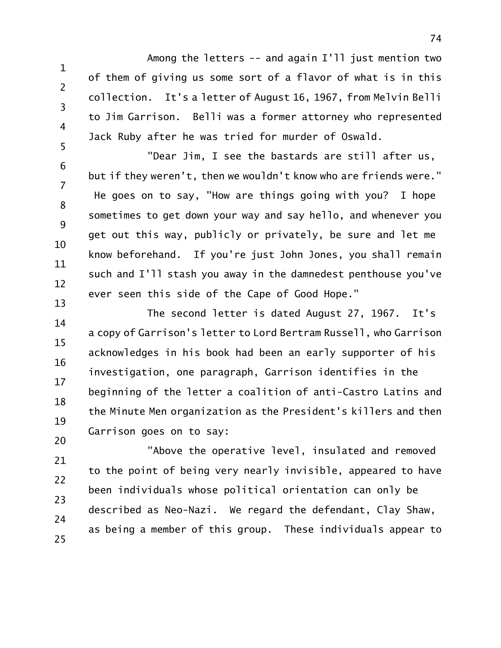1 2 3 Among the letters -- and again I'll just mention two of them of giving us some sort of a flavor of what is in this collection. It's a letter of August 16, 1967, from Melvin Belli to Jim Garrison. Belli was a former attorney who represented Jack Ruby after he was tried for murder of Oswald.

4

5

6 7 8 9 10 11 12 13 "Dear Jim, I see the bastards are still after us, but if they weren't, then we wouldn't know who are friends were." He goes on to say, "How are things going with you? I hope sometimes to get down your way and say hello, and whenever you get out this way, publicly or privately, be sure and let me know beforehand. If you're just John Jones, you shall remain such and I'll stash you away in the damnedest penthouse you've ever seen this side of the Cape of Good Hope."

14 15 16 17 18 19 20 The second letter is dated August 27, 1967. It's a copy of Garrison's letter to Lord Bertram Russell, who Garrison acknowledges in his book had been an early supporter of his investigation, one paragraph, Garrison identifies in the beginning of the letter a coalition of anti-Castro Latins and the Minute Men organization as the President's killers and then Garrison goes on to say:

21 22 23 24 25 "Above the operative level, insulated and removed to the point of being very nearly invisible, appeared to have been individuals whose political orientation can only be described as Neo-Nazi. We regard the defendant, Clay Shaw, as being a member of this group. These individuals appear to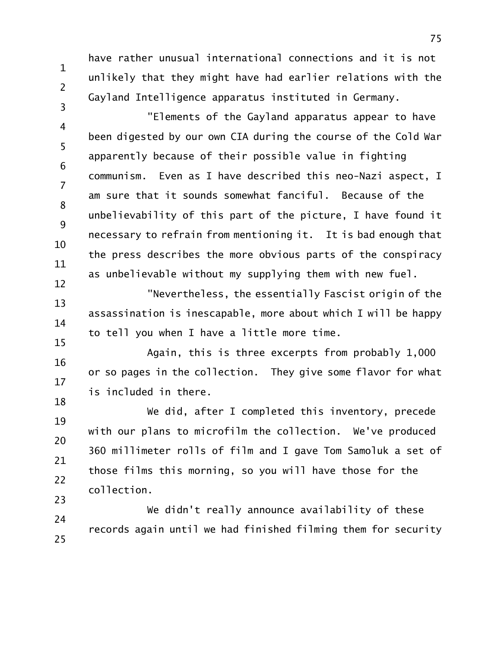have rather unusual international connections and it is not unlikely that they might have had earlier relations with the Gayland Intelligence apparatus instituted in Germany.

1

2

3

4 5 6 7 8 9 10 11 12 "Elements of the Gayland apparatus appear to have been digested by our own CIA during the course of the Cold War apparently because of their possible value in fighting communism. Even as I have described this neo-Nazi aspect, I am sure that it sounds somewhat fanciful. Because of the unbelievability of this part of the picture, I have found it necessary to refrain from mentioning it. It is bad enough that the press describes the more obvious parts of the conspiracy as unbelievable without my supplying them with new fuel.

13 14 15 "Nevertheless, the essentially Fascist origin of the assassination is inescapable, more about which I will be happy to tell you when I have a little more time.

16 17 18 Again, this is three excerpts from probably 1,000 or so pages in the collection. They give some flavor for what is included in there.

19 20 21 22 23 We did, after I completed this inventory, precede with our plans to microfilm the collection. We've produced 360 millimeter rolls of film and I gave Tom Samoluk a set of those films this morning, so you will have those for the collection.

24 25 We didn't really announce availability of these records again until we had finished filming them for security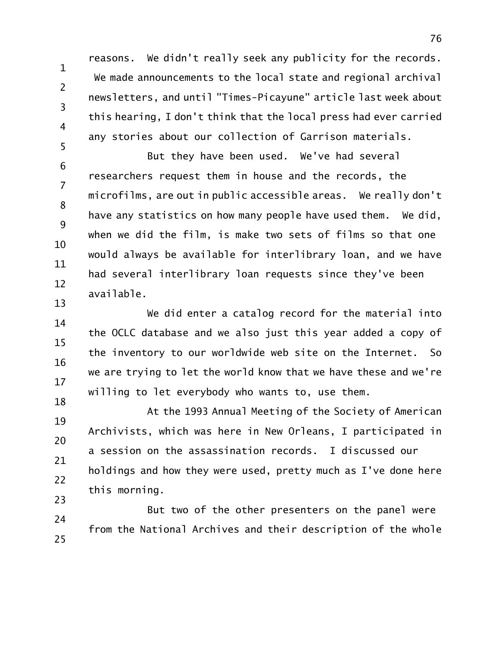reasons. We didn't really seek any publicity for the records. We made announcements to the local state and regional archival newsletters, and until "Times-Picayune" article last week about this hearing, I don't think that the local press had ever carried any stories about our collection of Garrison materials.

1

2

3

4

5

6 7 8 9 10 11 12 13 But they have been used. We've had several researchers request them in house and the records, the microfilms, are out in public accessible areas. We really don't have any statistics on how many people have used them. We did, when we did the film, is make two sets of films so that one would always be available for interlibrary loan, and we have had several interlibrary loan requests since they've been available.

14 15 16 17 18 We did enter a catalog record for the material into the OCLC database and we also just this year added a copy of the inventory to our worldwide web site on the Internet. So we are trying to let the world know that we have these and we're willing to let everybody who wants to, use them.

19 20 21 22 23 At the 1993 Annual Meeting of the Society of American Archivists, which was here in New Orleans, I participated in a session on the assassination records. I discussed our holdings and how they were used, pretty much as I've done here this morning.

24 25 But two of the other presenters on the panel were from the National Archives and their description of the whole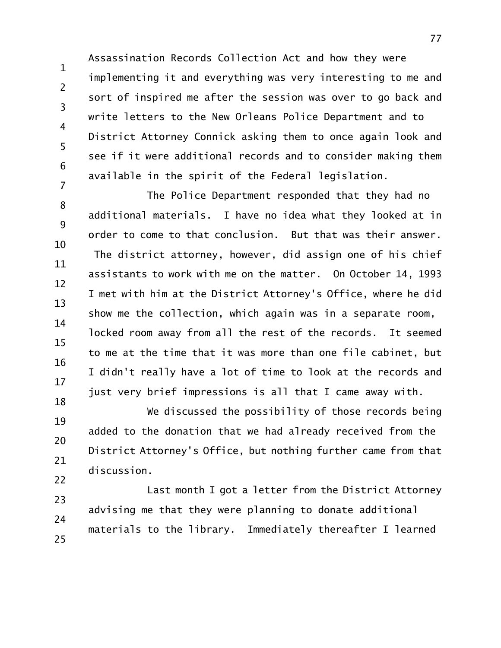1 2 3 4 5 6 7 Assassination Records Collection Act and how they were implementing it and everything was very interesting to me and sort of inspired me after the session was over to go back and write letters to the New Orleans Police Department and to District Attorney Connick asking them to once again look and see if it were additional records and to consider making them available in the spirit of the Federal legislation.

8 9 10 11 12 13 14 15 16 17 18 The Police Department responded that they had no additional materials. I have no idea what they looked at in order to come to that conclusion. But that was their answer. The district attorney, however, did assign one of his chief assistants to work with me on the matter. On October 14, 1993 I met with him at the District Attorney's Office, where he did show me the collection, which again was in a separate room, locked room away from all the rest of the records. It seemed to me at the time that it was more than one file cabinet, but I didn't really have a lot of time to look at the records and just very brief impressions is all that I came away with.

19 20 21 22 We discussed the possibility of those records being added to the donation that we had already received from the District Attorney's Office, but nothing further came from that discussion.

23 24 25 Last month I got a letter from the District Attorney advising me that they were planning to donate additional materials to the library. Immediately thereafter I learned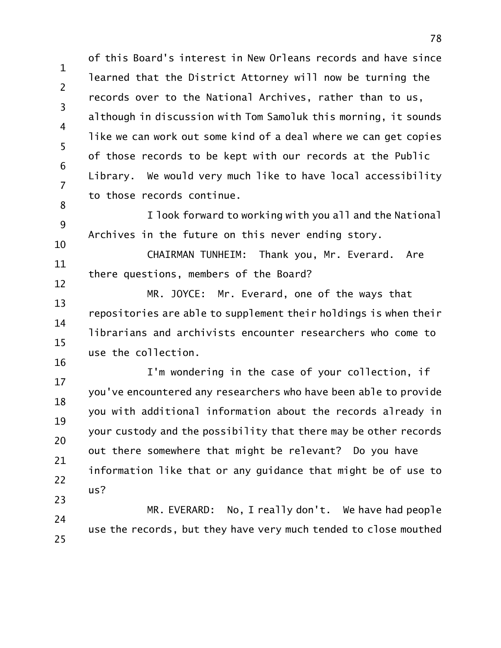1 2 3 4 5 6 7 8 of this Board's interest in New Orleans records and have since learned that the District Attorney will now be turning the records over to the National Archives, rather than to us, although in discussion with Tom Samoluk this morning, it sounds like we can work out some kind of a deal where we can get copies of those records to be kept with our records at the Public Library. We would very much like to have local accessibility to those records continue.

9 10 I look forward to working with you all and the National Archives in the future on this never ending story.

11 12 CHAIRMAN TUNHEIM: Thank you, Mr. Everard. Are there questions, members of the Board?

13 14 15 16 MR. JOYCE: Mr. Everard, one of the ways that repositories are able to supplement their holdings is when their librarians and archivists encounter researchers who come to use the collection.

17 18 19 20 21 22 23 I'm wondering in the case of your collection, if you've encountered any researchers who have been able to provide you with additional information about the records already in your custody and the possibility that there may be other records out there somewhere that might be relevant? Do you have information like that or any guidance that might be of use to us?

24 25 MR. EVERARD: No, I really don't. We have had people use the records, but they have very much tended to close mouthed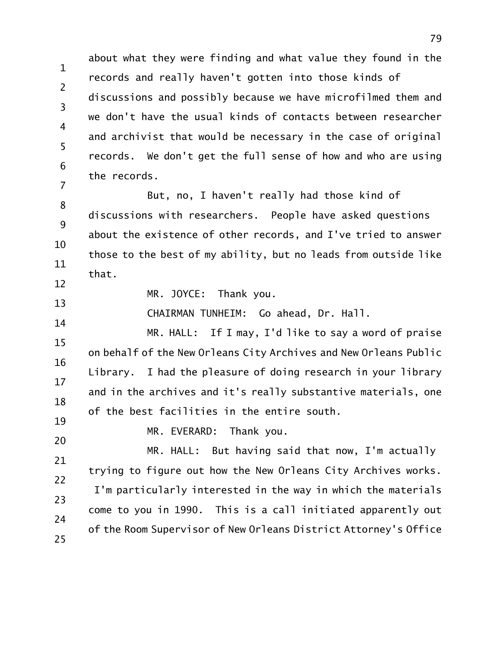1 2 3 4 5 6 7 about what they were finding and what value they found in the records and really haven't gotten into those kinds of discussions and possibly because we have microfilmed them and we don't have the usual kinds of contacts between researcher and archivist that would be necessary in the case of original records. We don't get the full sense of how and who are using the records.

8 9 10 11 12 But, no, I haven't really had those kind of discussions with researchers. People have asked questions about the existence of other records, and I've tried to answer those to the best of my ability, but no leads from outside like that.

MR. JOYCE: Thank you.

CHAIRMAN TUNHEIM: Go ahead, Dr. Hall.

15 16 17 18 19 MR. HALL: If I may, I'd like to say a word of praise on behalf of the New Orleans City Archives and New Orleans Public Library. I had the pleasure of doing research in your library and in the archives and it's really substantive materials, one of the best facilities in the entire south.

20

13

14

MR. EVERARD: Thank you.

21 22 23 24 25 MR. HALL: But having said that now, I'm actually trying to figure out how the New Orleans City Archives works. I'm particularly interested in the way in which the materials come to you in 1990. This is a call initiated apparently out of the Room Supervisor of New Orleans District Attorney's Office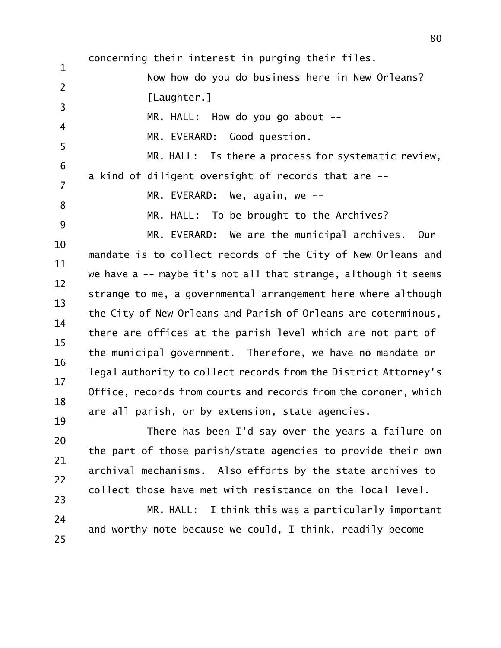1 2 3 4 5 6 7 8 9 10 11 12 13 14 15 16 17 18 19 concerning their interest in purging their files. Now how do you do business here in New Orleans? [Laughter.] MR. HALL: How do you go about --MR. EVERARD: Good question. MR. HALL: Is there a process for systematic review, a kind of diligent oversight of records that are -- MR. EVERARD: We, again, we --MR. HALL: To be brought to the Archives? MR. EVERARD: We are the municipal archives. Our mandate is to collect records of the City of New Orleans and we have a -- maybe it's not all that strange, although it seems strange to me, a governmental arrangement here where although the City of New Orleans and Parish of Orleans are coterminous, there are offices at the parish level which are not part of the municipal government. Therefore, we have no mandate or legal authority to collect records from the District Attorney's Office, records from courts and records from the coroner, which are all parish, or by extension, state agencies.

20 21 22 23 There has been I'd say over the years a failure on the part of those parish/state agencies to provide their own archival mechanisms. Also efforts by the state archives to collect those have met with resistance on the local level.

24 25 MR. HALL: I think this was a particularly important and worthy note because we could, I think, readily become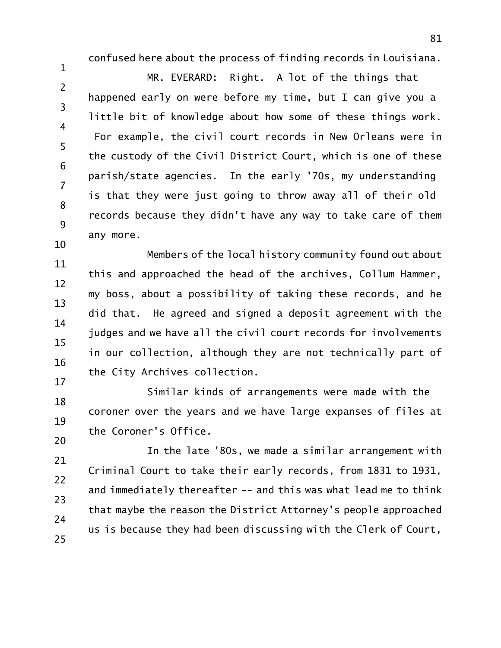confused here about the process of finding records in Louisiana.

1

2 3 4 5 6 7 8 9 10 MR. EVERARD: Right. A lot of the things that happened early on were before my time, but I can give you a little bit of knowledge about how some of these things work. For example, the civil court records in New Orleans were in the custody of the Civil District Court, which is one of these parish/state agencies. In the early '70s, my understanding is that they were just going to throw away all of their old records because they didn't have any way to take care of them any more.

11 12 13 14 15 16 17 Members of the local history community found out about this and approached the head of the archives, Collum Hammer, my boss, about a possibility of taking these records, and he did that. He agreed and signed a deposit agreement with the judges and we have all the civil court records for involvements in our collection, although they are not technically part of the City Archives collection.

18 19 20 Similar kinds of arrangements were made with the coroner over the years and we have large expanses of files at the Coroner's Office.

21 22 23 24 25 In the late '80s, we made a similar arrangement with Criminal Court to take their early records, from 1831 to 1931, and immediately thereafter -- and this was what lead me to think that maybe the reason the District Attorney's people approached us is because they had been discussing with the Clerk of Court,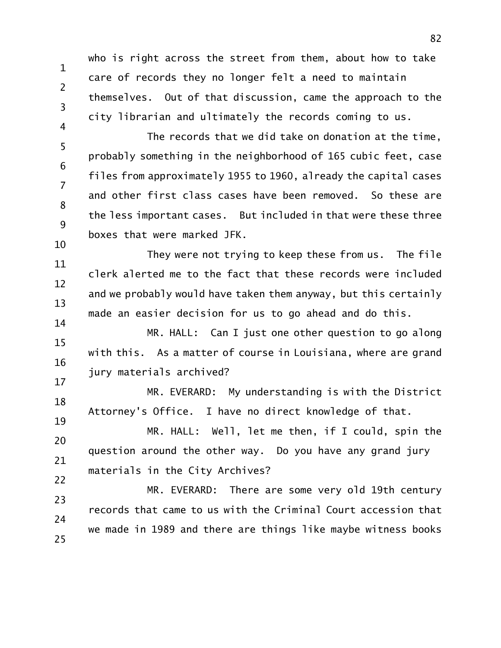who is right across the street from them, about how to take care of records they no longer felt a need to maintain themselves. Out of that discussion, came the approach to the city librarian and ultimately the records coming to us.

1

2

3

4

5 6 7 8 9 10 The records that we did take on donation at the time, probably something in the neighborhood of 165 cubic feet, case files from approximately 1955 to 1960, already the capital cases and other first class cases have been removed. So these are the less important cases. But included in that were these three boxes that were marked JFK.

11 12 13 14 They were not trying to keep these from us. The file clerk alerted me to the fact that these records were included and we probably would have taken them anyway, but this certainly made an easier decision for us to go ahead and do this.

15 16 17 MR. HALL: Can I just one other question to go along with this. As a matter of course in Louisiana, where are grand jury materials archived?

18 19 MR. EVERARD: My understanding is with the District Attorney's Office. I have no direct knowledge of that.

20 21 22 MR. HALL: Well, let me then, if I could, spin the question around the other way. Do you have any grand jury materials in the City Archives?

23 24 25 MR. EVERARD: There are some very old 19th century records that came to us with the Criminal Court accession that we made in 1989 and there are things like maybe witness books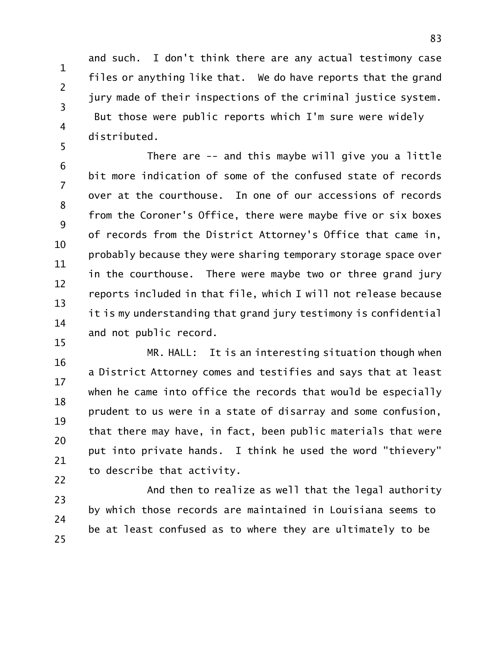1 2 3 4 5 and such. I don't think there are any actual testimony case files or anything like that. We do have reports that the grand jury made of their inspections of the criminal justice system. But those were public reports which I'm sure were widely distributed.

6 7 8 9 10 11 12 13 14 15 There are -- and this maybe will give you a little bit more indication of some of the confused state of records over at the courthouse. In one of our accessions of records from the Coroner's Office, there were maybe five or six boxes of records from the District Attorney's Office that came in, probably because they were sharing temporary storage space over in the courthouse. There were maybe two or three grand jury reports included in that file, which I will not release because it is my understanding that grand jury testimony is confidential and not public record.

16 17 18 19 20 21 22 MR. HALL: It is an interesting situation though when a District Attorney comes and testifies and says that at least when he came into office the records that would be especially prudent to us were in a state of disarray and some confusion, that there may have, in fact, been public materials that were put into private hands. I think he used the word "thievery" to describe that activity.

23 24 25 And then to realize as well that the legal authority by which those records are maintained in Louisiana seems to be at least confused as to where they are ultimately to be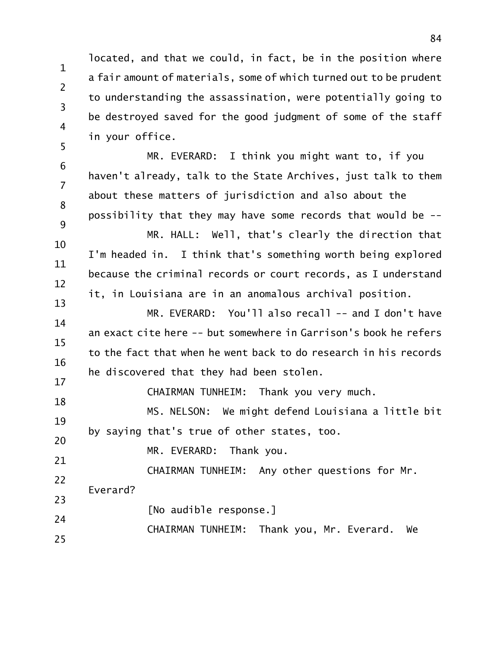1 2 3 located, and that we could, in fact, be in the position where a fair amount of materials, some of which turned out to be prudent to understanding the assassination, were potentially going to be destroyed saved for the good judgment of some of the staff in your office.

6 7 8 9 10 11 12 MR. EVERARD: I think you might want to, if you haven't already, talk to the State Archives, just talk to them about these matters of jurisdiction and also about the possibility that they may have some records that would be -- MR. HALL: Well, that's clearly the direction that I'm headed in. I think that's something worth being explored because the criminal records or court records, as I understand it, in Louisiana are in an anomalous archival position.

14 15 16 17 MR. EVERARD: You'll also recall -- and I don't have an exact cite here -- but somewhere in Garrison's book he refers to the fact that when he went back to do research in his records he discovered that they had been stolen.

CHAIRMAN TUNHEIM: Thank you very much.

19 20 MS. NELSON: We might defend Louisiana a little bit by saying that's true of other states, too.

MR. EVERARD: Thank you.

22 CHAIRMAN TUNHEIM: Any other questions for Mr. Everard?

23 24 [No audible response.]

CHAIRMAN TUNHEIM: Thank you, Mr. Everard. We

25

4

5

13

18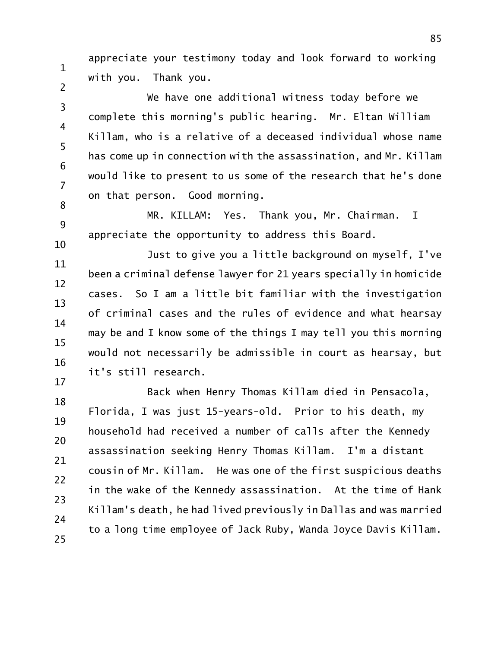appreciate your testimony today and look forward to working with you. Thank you.

1

2

3 4 5 6 7 8 We have one additional witness today before we complete this morning's public hearing. Mr. Eltan William Killam, who is a relative of a deceased individual whose name has come up in connection with the assassination, and Mr. Killam would like to present to us some of the research that he's done on that person. Good morning.

9 10 MR. KILLAM: Yes. Thank you, Mr. Chairman. I appreciate the opportunity to address this Board.

11 12 13 14 15 16 17 Just to give you a little background on myself, I've been a criminal defense lawyer for 21 years specially in homicide cases. So I am a little bit familiar with the investigation of criminal cases and the rules of evidence and what hearsay may be and I know some of the things I may tell you this morning would not necessarily be admissible in court as hearsay, but it's still research.

18 19 20 21 22 23 24 25 Back when Henry Thomas Killam died in Pensacola, Florida, I was just 15-years-old. Prior to his death, my household had received a number of calls after the Kennedy assassination seeking Henry Thomas Killam. I'm a distant cousin of Mr. Killam. He was one of the first suspicious deaths in the wake of the Kennedy assassination. At the time of Hank Killam's death, he had lived previously in Dallas and was married to a long time employee of Jack Ruby, Wanda Joyce Davis Killam.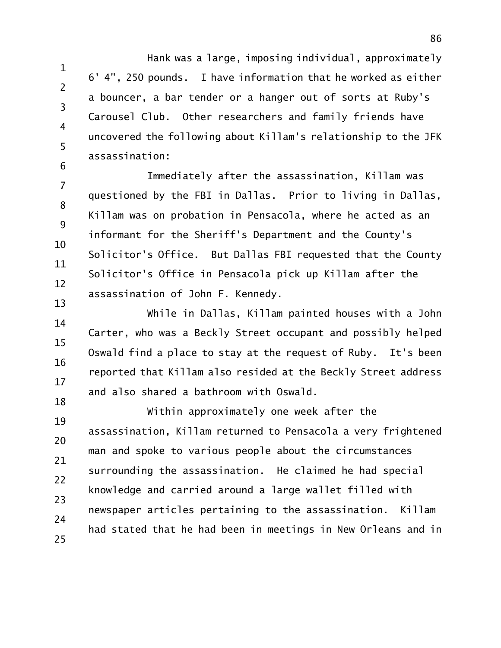1 2 3 Hank was a large, imposing individual, approximately 6' 4", 250 pounds. I have information that he worked as either a bouncer, a bar tender or a hanger out of sorts at Ruby's Carousel Club. Other researchers and family friends have uncovered the following about Killam's relationship to the JFK assassination:

4

5

6

7 8 9 10 11 12 13 Immediately after the assassination, Killam was questioned by the FBI in Dallas. Prior to living in Dallas, Killam was on probation in Pensacola, where he acted as an informant for the Sheriff's Department and the County's Solicitor's Office. But Dallas FBI requested that the County Solicitor's Office in Pensacola pick up Killam after the assassination of John F. Kennedy.

14 15 16 17 18 While in Dallas, Killam painted houses with a John Carter, who was a Beckly Street occupant and possibly helped Oswald find a place to stay at the request of Ruby. It's been reported that Killam also resided at the Beckly Street address and also shared a bathroom with Oswald.

19 20 21 22 23 24 25 Within approximately one week after the assassination, Killam returned to Pensacola a very frightened man and spoke to various people about the circumstances surrounding the assassination. He claimed he had special knowledge and carried around a large wallet filled with newspaper articles pertaining to the assassination. Killam had stated that he had been in meetings in New Orleans and in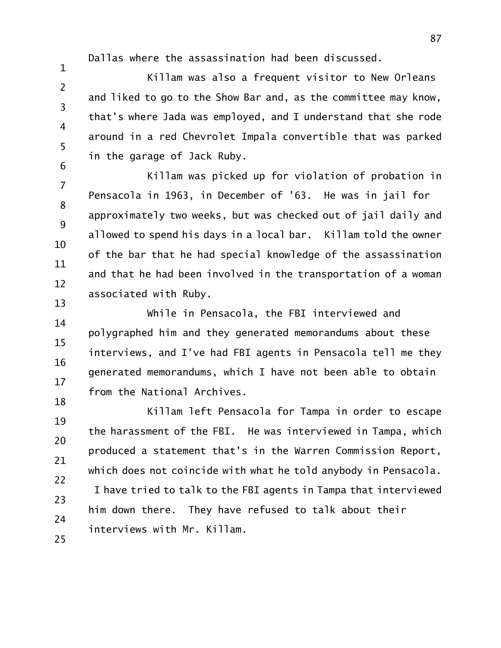Dallas where the assassination had been discussed.

1

6

2 3 4 5 Killam was also a frequent visitor to New Orleans and liked to go to the Show Bar and, as the committee may know, that's where Jada was employed, and I understand that she rode around in a red Chevrolet Impala convertible that was parked in the garage of Jack Ruby.

7 8 9 10 11 12 13 Killam was picked up for violation of probation in Pensacola in 1963, in December of '63. He was in jail for approximately two weeks, but was checked out of jail daily and allowed to spend his days in a local bar. Killam told the owner of the bar that he had special knowledge of the assassination and that he had been involved in the transportation of a woman associated with Ruby.

14 15 16 17 18 While in Pensacola, the FBI interviewed and polygraphed him and they generated memorandums about these interviews, and I've had FBI agents in Pensacola tell me they generated memorandums, which I have not been able to obtain from the National Archives.

19 20 21 22 23 24 25 Killam left Pensacola for Tampa in order to escape the harassment of the FBI. He was interviewed in Tampa, which produced a statement that's in the Warren Commission Report, which does not coincide with what he told anybody in Pensacola. I have tried to talk to the FBI agents in Tampa that interviewed him down there. They have refused to talk about their interviews with Mr. Killam.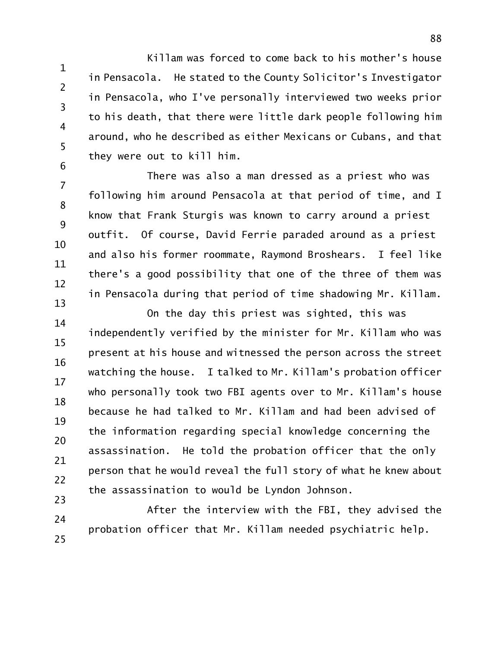1 2 3 4 5 6 Killam was forced to come back to his mother's house in Pensacola. He stated to the County Solicitor's Investigator in Pensacola, who I've personally interviewed two weeks prior to his death, that there were little dark people following him around, who he described as either Mexicans or Cubans, and that they were out to kill him.

7 8 9 10 11 12 13 There was also a man dressed as a priest who was following him around Pensacola at that period of time, and I know that Frank Sturgis was known to carry around a priest outfit. Of course, David Ferrie paraded around as a priest and also his former roommate, Raymond Broshears. I feel like there's a good possibility that one of the three of them was in Pensacola during that period of time shadowing Mr. Killam.

14 15 16 17 18 19 20 21 22 23 On the day this priest was sighted, this was independently verified by the minister for Mr. Killam who was present at his house and witnessed the person across the street watching the house. I talked to Mr. Killam's probation officer who personally took two FBI agents over to Mr. Killam's house because he had talked to Mr. Killam and had been advised of the information regarding special knowledge concerning the assassination. He told the probation officer that the only person that he would reveal the full story of what he knew about the assassination to would be Lyndon Johnson.

24 25 After the interview with the FBI, they advised the probation officer that Mr. Killam needed psychiatric help.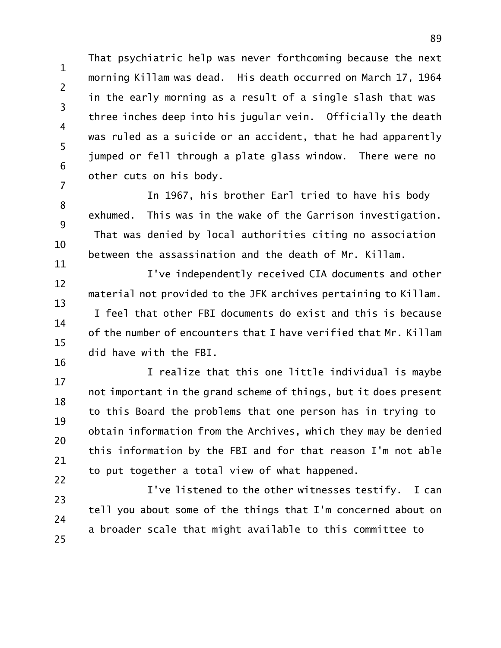1 2 3 4 5 6 7 That psychiatric help was never forthcoming because the next morning Killam was dead. His death occurred on March 17, 1964 in the early morning as a result of a single slash that was three inches deep into his jugular vein. Officially the death was ruled as a suicide or an accident, that he had apparently jumped or fell through a plate glass window. There were no other cuts on his body.

8 9 10 11 In 1967, his brother Earl tried to have his body exhumed. This was in the wake of the Garrison investigation. That was denied by local authorities citing no association between the assassination and the death of Mr. Killam.

12 13 14 15 16 I've independently received CIA documents and other material not provided to the JFK archives pertaining to Killam. I feel that other FBI documents do exist and this is because of the number of encounters that I have verified that Mr. Killam did have with the FBI.

17 18 19 20 21 22 I realize that this one little individual is maybe not important in the grand scheme of things, but it does present to this Board the problems that one person has in trying to obtain information from the Archives, which they may be denied this information by the FBI and for that reason I'm not able to put together a total view of what happened.

23 24 25 I've listened to the other witnesses testify. I can tell you about some of the things that I'm concerned about on a broader scale that might available to this committee to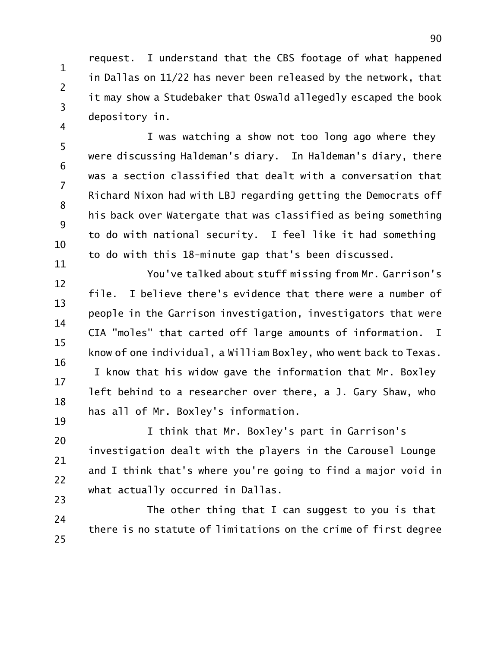1 2 3 4 request. I understand that the CBS footage of what happened in Dallas on 11/22 has never been released by the network, that it may show a Studebaker that Oswald allegedly escaped the book depository in.

5 6 7 8 9 10 11 I was watching a show not too long ago where they were discussing Haldeman's diary. In Haldeman's diary, there was a section classified that dealt with a conversation that Richard Nixon had with LBJ regarding getting the Democrats off his back over Watergate that was classified as being something to do with national security. I feel like it had something to do with this 18-minute gap that's been discussed.

12 13 14 15 16 17 18 You've talked about stuff missing from Mr. Garrison's file. I believe there's evidence that there were a number of people in the Garrison investigation, investigators that were CIA "moles" that carted off large amounts of information. I know of one individual, a William Boxley, who went back to Texas. I know that his widow gave the information that Mr. Boxley left behind to a researcher over there, a J. Gary Shaw, who has all of Mr. Boxley's information.

19 20 21 22 23 I think that Mr. Boxley's part in Garrison's investigation dealt with the players in the Carousel Lounge and I think that's where you're going to find a major void in what actually occurred in Dallas.

24 25 The other thing that I can suggest to you is that there is no statute of limitations on the crime of first degree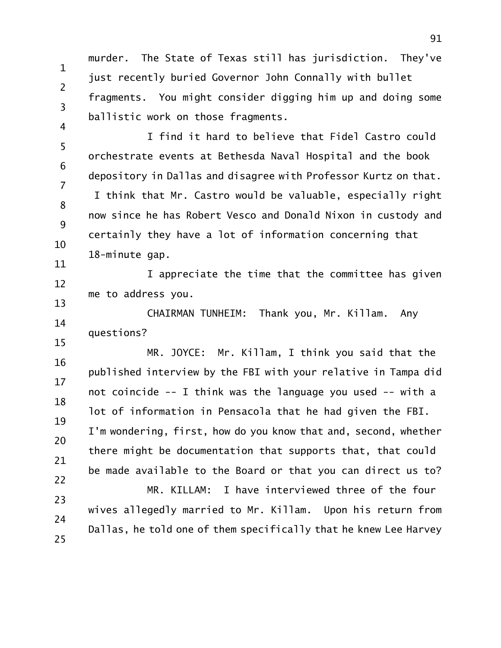1 2 3 4 murder. The State of Texas still has jurisdiction. They've just recently buried Governor John Connally with bullet fragments. You might consider digging him up and doing some ballistic work on those fragments.

5 6 7 8 9 10 11 I find it hard to believe that Fidel Castro could orchestrate events at Bethesda Naval Hospital and the book depository in Dallas and disagree with Professor Kurtz on that. I think that Mr. Castro would be valuable, especially right now since he has Robert Vesco and Donald Nixon in custody and certainly they have a lot of information concerning that 18-minute gap.

12 13 I appreciate the time that the committee has given me to address you.

14 15 CHAIRMAN TUNHEIM: Thank you, Mr. Killam. Any questions?

16 17 18 19 20 21 22 MR. JOYCE: Mr. Killam, I think you said that the published interview by the FBI with your relative in Tampa did not coincide -- I think was the language you used -- with a lot of information in Pensacola that he had given the FBI. I'm wondering, first, how do you know that and, second, whether there might be documentation that supports that, that could be made available to the Board or that you can direct us to? MR. KILLAM: I have interviewed three of the four

23 24 25 wives allegedly married to Mr. Killam. Upon his return from Dallas, he told one of them specifically that he knew Lee Harvey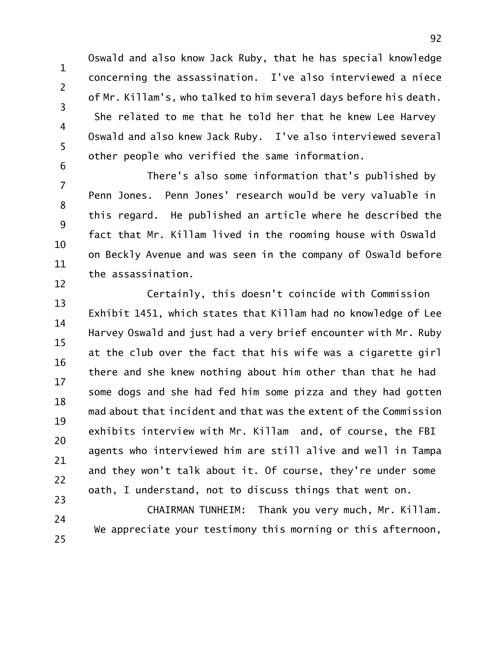1 2 3 4 5 6 Oswald and also know Jack Ruby, that he has special knowledge concerning the assassination. I've also interviewed a niece of Mr. Killam's, who talked to him several days before his death. She related to me that he told her that he knew Lee Harvey Oswald and also knew Jack Ruby. I've also interviewed several other people who verified the same information.

7 8 9 10 11 12 There's also some information that's published by Penn Jones. Penn Jones' research would be very valuable in this regard. He published an article where he described the fact that Mr. Killam lived in the rooming house with Oswald on Beckly Avenue and was seen in the company of Oswald before the assassination.

13 14 15 16 17 18 19 20 21 22 23 Certainly, this doesn't coincide with Commission Exhibit 1451, which states that Killam had no knowledge of Lee Harvey Oswald and just had a very brief encounter with Mr. Ruby at the club over the fact that his wife was a cigarette girl there and she knew nothing about him other than that he had some dogs and she had fed him some pizza and they had gotten mad about that incident and that was the extent of the Commission exhibits interview with Mr. Killam and, of course, the FBI agents who interviewed him are still alive and well in Tampa and they won't talk about it. Of course, they're under some oath, I understand, not to discuss things that went on.

24 25 CHAIRMAN TUNHEIM: Thank you very much, Mr. Killam. We appreciate your testimony this morning or this afternoon,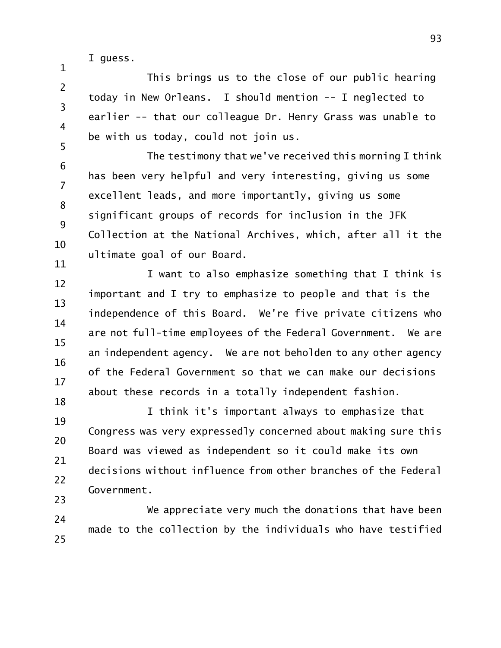I guess.

1

2 3 4 5 This brings us to the close of our public hearing today in New Orleans. I should mention -- I neglected to earlier -- that our colleague Dr. Henry Grass was unable to be with us today, could not join us.

6 7 8 9 10 11 The testimony that we've received this morning I think has been very helpful and very interesting, giving us some excellent leads, and more importantly, giving us some significant groups of records for inclusion in the JFK Collection at the National Archives, which, after all it the ultimate goal of our Board.

12 13 14 15 16 17 18 I want to also emphasize something that I think is important and I try to emphasize to people and that is the independence of this Board. We're five private citizens who are not full-time employees of the Federal Government. We are an independent agency. We are not beholden to any other agency of the Federal Government so that we can make our decisions about these records in a totally independent fashion.

19 20 21 22 23 I think it's important always to emphasize that Congress was very expressedly concerned about making sure this Board was viewed as independent so it could make its own decisions without influence from other branches of the Federal Government.

24 25 We appreciate very much the donations that have been made to the collection by the individuals who have testified